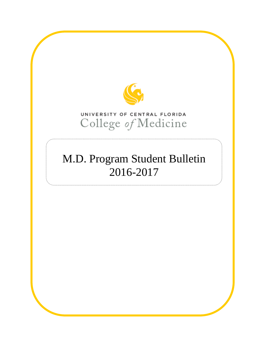

# UNIVERSITY OF CENTRAL FLORIDA College of Medicine

# M.D. Program Student Bulletin 2016-2017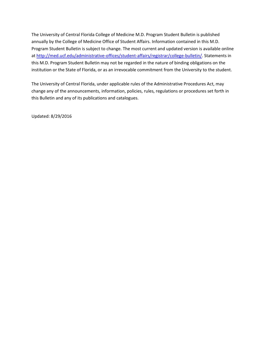The University of Central Florida College of Medicine M.D. Program Student Bulletin is published annually by the College of Medicine Office of Student Affairs. Information contained in this M.D. Program Student Bulletin is subject to change. The most current and updated version is available online at [http://med.ucf.edu/administrative-offices/student-affairs/registrar/college-bulletin/.](http://med.ucf.edu/administrative-offices/student-affairs/registrar/college-bulletin/) Statements in this M.D. Program Student Bulletin may not be regarded in the nature of binding obligations on the institution or the State of Florida, or as an irrevocable commitment from the University to the student.

The University of Central Florida, under applicable rules of the Administrative Procedures Act, may change any of the announcements, information, policies, rules, regulations or procedures set forth in this Bulletin and any of its publications and catalogues.

Updated: 8/29/2016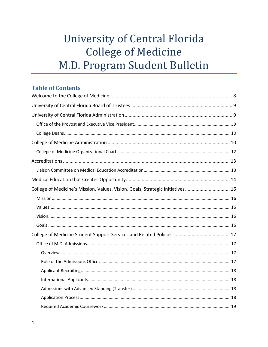# University of Central Florida **College of Medicine** M.D. Program Student Bulletin

# **Table of Contents**

| College of Medicine's Mission, Values, Vision, Goals, Strategic Initiatives 16 |  |
|--------------------------------------------------------------------------------|--|
|                                                                                |  |
|                                                                                |  |
|                                                                                |  |
|                                                                                |  |
|                                                                                |  |
|                                                                                |  |
|                                                                                |  |
|                                                                                |  |
|                                                                                |  |
|                                                                                |  |
|                                                                                |  |
|                                                                                |  |
|                                                                                |  |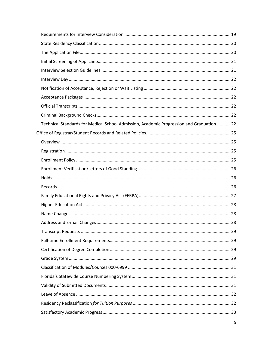| Technical Standards for Medical School Admission, Academic Progression and Graduation22 |  |
|-----------------------------------------------------------------------------------------|--|
|                                                                                         |  |
|                                                                                         |  |
|                                                                                         |  |
|                                                                                         |  |
|                                                                                         |  |
|                                                                                         |  |
|                                                                                         |  |
|                                                                                         |  |
|                                                                                         |  |
|                                                                                         |  |
|                                                                                         |  |
|                                                                                         |  |
|                                                                                         |  |
|                                                                                         |  |
|                                                                                         |  |
|                                                                                         |  |
|                                                                                         |  |
|                                                                                         |  |
|                                                                                         |  |
|                                                                                         |  |
|                                                                                         |  |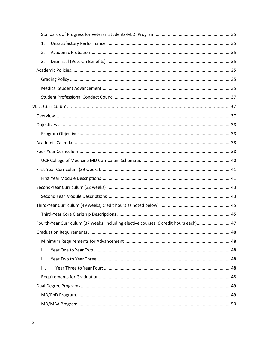| 1.                                                                                   |  |
|--------------------------------------------------------------------------------------|--|
| 2.                                                                                   |  |
| 3.                                                                                   |  |
|                                                                                      |  |
|                                                                                      |  |
|                                                                                      |  |
|                                                                                      |  |
|                                                                                      |  |
|                                                                                      |  |
|                                                                                      |  |
|                                                                                      |  |
|                                                                                      |  |
|                                                                                      |  |
|                                                                                      |  |
|                                                                                      |  |
|                                                                                      |  |
|                                                                                      |  |
|                                                                                      |  |
|                                                                                      |  |
|                                                                                      |  |
| Fourth-Year Curriculum (37 weeks, including elective courses; 6 credit hours each)47 |  |
|                                                                                      |  |
|                                                                                      |  |
| I.                                                                                   |  |
| II.                                                                                  |  |
| Ш.                                                                                   |  |
|                                                                                      |  |
|                                                                                      |  |
|                                                                                      |  |
|                                                                                      |  |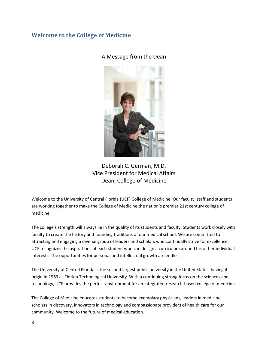# <span id="page-7-0"></span>**Welcome to the College of Medicine**

A Message from the Dean



Deborah C. German, M.D. Vice President for Medical Affairs Dean, College of Medicine

Welcome to the University of Central Florida (UCF) College of Medicine. Our faculty, staff and students are working together to make the College of Medicine the nation's premier 21st century college of medicine.

The college's strength will always lie in the quality of its students and faculty. Students work closely with faculty to create the history and founding traditions of our medical school. We are committed to attracting and engaging a diverse group of leaders and scholars who continually strive for excellence. UCF recognizes the aspirations of each student who can design a curriculum around his or her individual interests. The opportunities for personal and intellectual growth are endless.

The University of Central Florida is the second largest public university in the United States, having its origin in 1963 as Florida Technological University. With a continuing strong focus on the sciences and technology, UCF provides the perfect environment for an integrated research-based college of medicine.

The College of Medicine educates students to become exemplary physicians, leaders in medicine, scholars in discovery, innovators in technology and compassionate providers of health care for our community. Welcome to the future of medical education.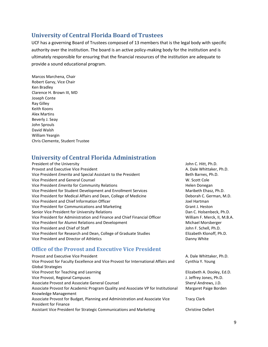# <span id="page-8-0"></span>**University of Central Florida Board of Trustees**

UCF has a governing Board of Trustees composed of 13 members that is the legal body with specific authority over the institution. The board is an active policy-making body for the institution and is ultimately responsible for ensuring that the financial resources of the institution are adequate to provide a sound educational program.

Marcos Marchena, Chair Robert Garvy, Vice Chair Ken Bradley Clarence H. Brown III, MD Joseph Conte Ray Gilley Keith Koons Alex Martins Beverly J. Seay John Sprouls David Walsh William Yeargin Chris Clemente, Student Trustee

# <span id="page-8-1"></span>**University of Central Florida Administration**

| President of the University                                               |
|---------------------------------------------------------------------------|
| <b>Provost and Executive Vice President</b>                               |
| Vice President <i>Emerita</i> and Special Assistant to the President      |
| Vice President and General Counsel                                        |
| Vice President <i>Emerita</i> for Community Relations                     |
| Vice President for Student Development and Enrollment Services            |
| Vice President for Medical Affairs and Dean, College of Medicine          |
| Vice President and Chief Information Officer                              |
| Vice President for Communications and Marketing                           |
| Senior Vice President for University Relations                            |
| Vice President for Administration and Finance and Chief Financial Officer |
| Vice President for Alumni Relations and Development                       |
| Vice President and Chief of Staff                                         |
| Vice President for Research and Dean, College of Graduate Studies         |
| Vice President and Director of Athletics                                  |

# <span id="page-8-2"></span>**Office of the Provost and Executive Vice President**

| Provost and Executive Vice President                                               | A. Dale Whittaker, Ph.D.   |
|------------------------------------------------------------------------------------|----------------------------|
| Vice Provost for Faculty Excellence and Vice Provost for International Affairs and | Cynthia Y. Young           |
| Global Strategies                                                                  |                            |
| Vice Provost for Teaching and Learning                                             | Elizabeth A. Dooley, Ed.D. |
| Vice Provost, Regional Campuses                                                    | J. Jeffrey Jones, Ph.D.    |
| Associate Provost and Associate General Counsel                                    | Sheryl Andrews, J.D.       |
| Associate Provost for Academic Program Quality and Associate VP for Institutional  | Margaret Paige Borden      |
| Knowledge Management                                                               |                            |
| Associate Provost for Budget, Planning and Administration and Associate Vice       | <b>Tracy Clark</b>         |
| <b>President for Finance</b>                                                       |                            |
| Assistant Vice President for Strategic Communications and Marketing                | <b>Christine Dellert</b>   |
|                                                                                    |                            |

John C. Hitt, Ph.D. A. Dale Whittaker, Ph.D. Beth Barnes, Ph.D. W. Scott Cole **Helen Donegan** Maribeth Ehasz, Ph.D. Deborah C. German, M.D.

Joel Hartman Grant J. Heston

Danny White

Dan C. Holsenbeck, Ph.D. William F. Merck, II, M.B.A. Michael Morsberger John F. Schell, Ph.D. Elizabeth Klonoff, Ph.D.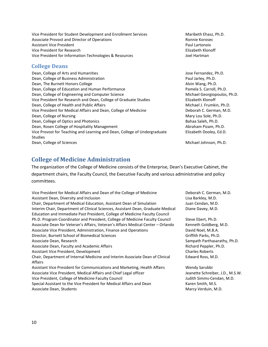Vice President for Student Development and Enrollment Services Maribeth Ehasz, Ph.D. Associate Provost and Director of Operations **Ronnie Korosec** Ronnie Korosec Assistant Vice President **Paul Lartonoix Paul Lartonoix** Vice President for Research **Elizabeth Klonoff** Vice President for Information Technologies & Resources and Martman Joel Hartman

# <span id="page-9-0"></span>**College Deans**

Dean, College of Arts and Humanities **State Article 2006** Securities Jose Fernandez, Ph.D. Dean, College of Business Administration **Paul Jarley, Ph.D.** Paul Jarley, Ph.D. Dean, The Burnett Honors College Alvin Wang, Ph.D. Dean, College of Education and Human Performance **Pamela S. Carroll**, Ph.D. Dean, College of Engineering and Computer Science Michael Georgiopoulos, Ph.D. Vice President for Research and Dean, College of Graduate Studies Elizabeth Klonoff Dean, College of Health and Public Affairs Michael J. Frumkin, Ph.D. Vice President for Medical Affairs and Dean, College of Medicine **Deborah C. German, M.D.** Dean, College of Nursing Mary Lou Sole, Ph.D. Dean, College of Optics and Photonics **Bahaa Saleh, Ph.D.** Bahaa Saleh, Ph.D. Dean, Rosen College of Hospitality Management Abraham Pizam, Ph.D. Vice Provost for Teaching and Learning and Dean, College of Undergraduate Studies Dean, College of Sciences and Sciences Michael Johnson, Ph.D.

Elizabeth Dooley, Ed.D.

# <span id="page-9-1"></span>**College of Medicine Administration**

The organization of the College of Medicine consists of the Enterprise, Dean's Executive Cabinet, the department chairs, the Faculty Council, the Executive Faculty and various administrative and policy committees.

Vice President for Medical Affairs and Dean of the College of Medicine Deborah C. German, M.D. Assistant Dean, Diversity and Inclusion Lisa Barkley, M.D. Lisa Barkley, M.D. Chair, Department of Medical Education, Assistant Dean of Simulation Juan Cendan, M.D. Interim Chair, Department of Clinical Sciences, Assistant Dean, Graduate Medical Education and Immediate Past President, College of Medicine Faculty Council Ph.D. Program Coordinator and President, College of Medicine Faculty Council Steve Ebert, Ph.D. Associate Dean for Veteran's Affairs, Veteran's Affairs Medical Center – Orlando Kenneth Goldberg, M.D. Associate Vice President, Administration, Finance and Operations **David Noel, M.B.A.** Director, Burnett School of Biomedical Sciences Griffith Parks, Ph.D. Associate Dean, Research Sampath Parthasarathy, Ph.D. Associate Dean, Faculty and Academic Affairs **Richard Peppler, Ph.D.** Richard Peppler, Ph.D. Assistant Vice President, Development Charles Roberts Chair, Department of Internal Medicine and Interim Associate Dean of Clinical Affairs Assistant Vice President for Communications and Marketing, Health Affairs Wendy Sarubbi Associate Vice President, Medical Affairs and Chief Legal officer Juneau Meanette Schreiber, J.D., M.S.W. Vice President, College of Medicine Faculty Council and Muslem and Muslem Judith Simms-Cendan, M.D. Special Assistant to the Vice President for Medical Affairs and Dean Karen Smith, M.S.

Associate Dean, Students Marcy Verduin, M.D.

Diane Davey, M.D.

Edward Ross, M.D.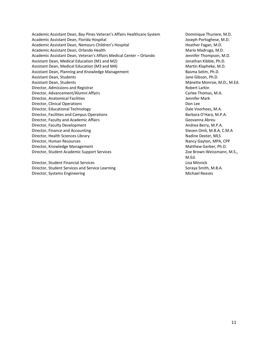Academic Assistant Dean, Bay Pines Veteran's Affairs Healthcare System Dominique Thuriere, M.D. Academic Assistant Dean, Florida Hospital Joseph Portoghese, M.D. Academic Assistant Dean, Nemours Children's Hospital **Heather Fagan, M.D.** Heather Fagan, M.D. Academic Assistant Dean, Orlando Health Mario Mario Mario Madruga, M.D. Academic Assistant Dean, Veteran's Affairs Medical Center – Orlando Jennifer Thompson, M.D. Assistant Dean, Medical Education (M1 and M2) Solution of the Mathematic Muslim Control of the Muslim Control o Assistant Dean, Medical Education (M3 and M4) Martin Klapheke, M.D. Assistant Dean, Planning and Knowledge Management **Basma Selim, Ph.D.** Basma Selim, Ph.D. Assistant Dean, Students Jane Gibson, Ph.D. Assistant Dean, Students Mänette Monroe, M.D., M.Ed. Director, Admissions and Registrar **Robert Larkin** Bobert Larkin Director, Advancement/Alumni Affairs Carlee Thomas, M.A. Director, Anatomical Facilities Jennifer Mark (State Anatomical Facilities Jennifer Mark Director, Clinical Operations **Don Lee** Don Lee Don Lee Don Lee Don Lee Don Lee Don Lee Don Lee Don Lee Don Lee Don Lee Don Lee Don Lee Don Lee Don Lee Don Lee Don Lee Don Lee Don Lee Don Lee Don Lee Don Lee Don Lee Don Le Director, Educational Technology **Dale Voorhees, M.A.** Dale Voorhees, M.A. Director, Facilities and Campus Operations **Barbara O'Hara, M.P.A.** Barbara O'Hara, M.P.A. Director, Faculty and Academic Affairs Geovanna Abreu Director, Faculty Development **Andrea Berry, M.P.A.** Andrea Berry, M.P.A. Director, Finance and Accounting Theorem 2012 Control of the Steven Omli, M.B.A, C.M.A Director, Health Sciences Library Nadine Dexter, MLS Director, Human Resources Nancy Gayton, MPA, CPP Director, Knowledge Management Matthew Gerber, Ph.D. Director, Student Academic Support Services Zoe Brown-Weissmann, M.S.,

Director, Student Financial Services Lisa Minnick Director, Student Services and Service Learning Soraya Smith, M.B.A. Director, Systems Engineering Michael Reaves

M.Ed.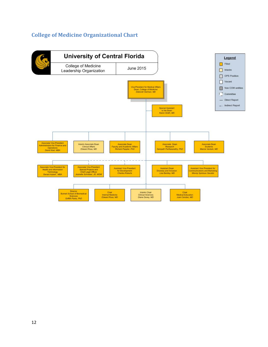# <span id="page-11-0"></span>**College of Medicine Organizational Chart**

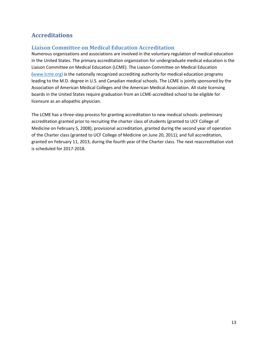# <span id="page-12-0"></span>**Accreditations**

# <span id="page-12-1"></span>**Liaison Committee on Medical Education Accreditation**

Numerous organizations and associations are involved in the voluntary regulation of medical education in the United States. The primary accreditation organization for undergraduate medical education is the Liaison Committee on Medical Education (LCME). The Liaison Committee on Medical Education [\(www.lcme.org\)](http://www.lcme.org/) is the nationally recognized accrediting authority for medical education programs leading to the M.D. degree in U.S. and Canadian medical schools. The LCME is jointly sponsored by the Association of American Medical Colleges and the American Medical Association. All state licensing boards in the United States require graduation from an LCME-accredited school to be eligible for licensure as an allopathic physician.

The LCME has a three-step process for granting accreditation to new medical schools: preliminary accreditation granted prior to recruiting the charter class of students (granted to UCF College of Medicine on February 5, 2008); provisional accreditation, granted during the second year of operation of the Charter class (granted to UCF College of Medicine on June 20, 2011); and full accreditation, granted on February 11, 2013, during the fourth year of the Charter class. The next reaccreditation visit is scheduled for 2017-2018.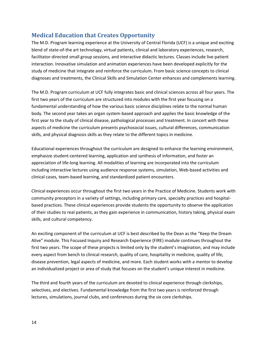# <span id="page-13-0"></span>**Medical Education that Creates Opportunity**

The M.D. Program learning experience at the University of Central Florida (UCF) is a unique and exciting blend of state-of-the art technology, virtual patients, clinical and laboratory experiences, research, facilitator-directed small group sessions, and interactive didactic lectures. Classes include live patient interaction. Innovative simulation and animation experiences have been developed explicitly for the study of medicine that integrate and reinforce the curriculum. From basic science concepts to clinical diagnoses and treatments, the Clinical Skills and Simulation Center enhances and complements learning.

The M.D. Program curriculum at UCF fully integrates basic and clinical sciences across all four years. The first two years of the curriculum are structured into modules with the first year focusing on a fundamental understanding of how the various basic science disciplines relate to the normal human body. The second year takes an organ system-based approach and applies the basic knowledge of the first year to the study of clinical disease, pathological processes and treatment. In concert with these aspects of medicine the curriculum presents psychosocial issues, cultural differences, communication skills, and physical diagnosis skills as they relate to the different topics in medicine.

Educational experiences throughout the curriculum are designed to enhance the learning environment, emphasize student-centered learning, application and synthesis of information, and foster an appreciation of life-long learning. All modalities of learning are incorporated into the curriculum including interactive lectures using audience response systems, simulation, Web-based activities and clinical cases, team-based learning, and standardized patient encounters.

Clinical experiences occur throughout the first two years in the Practice of Medicine. Students work with community preceptors in a variety of settings, including primary care, specialty practices and hospitalbased practices. These clinical experiences provide students the opportunity to observe the application of their studies to real patients, as they gain experience in communication, history taking, physical exam skills, and cultural competency.

An exciting component of the curriculum at UCF is best described by the Dean as the "Keep the Dream Alive" module. This Focused Inquiry and Research Experience (FIRE) module continues throughout the first two years. The scope of these projects is limited only by the student's imagination, and may include every aspect from bench to clinical research, quality of care, hospitality in medicine, quality of life, disease prevention, legal aspects of medicine, and more. Each student works with a mentor to develop an individualized project or area of study that focuses on the student's unique interest in medicine.

The third and fourth years of the curriculum are devoted to clinical experience through clerkships, selectives, and electives. Fundamental knowledge from the first two years is reinforced through lectures, simulations, journal clubs, and conferences during the six core clerkships.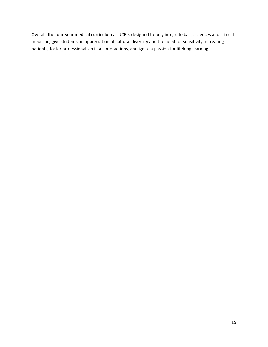Overall, the four-year medical curriculum at UCF is designed to fully integrate basic sciences and clinical medicine, give students an appreciation of cultural diversity and the need for sensitivity in treating patients, foster professionalism in all interactions, and ignite a passion for lifelong learning.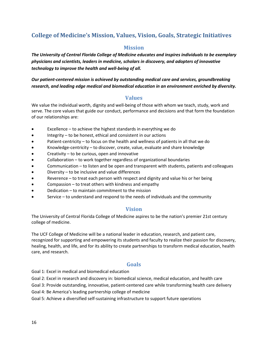# <span id="page-15-1"></span><span id="page-15-0"></span>**College of Medicine's Mission, Values, Vision, Goals, Strategic Initiatives**

# **Mission**

*The University of Central Florida College of Medicine educates and inspires individuals to be exemplary physicians and scientists, leaders in medicine, scholars in discovery, and adopters of innovative technology to improve the health and well-being of all.* 

# *Our patient-centered mission is achieved by outstanding medical care and services, groundbreaking research, and leading edge medical and biomedical education in an environment enriched by diversity.*

# **Values**

<span id="page-15-2"></span>We value the individual worth, dignity and well-being of those with whom we teach, study, work and serve. The core values that guide our conduct, performance and decisions and that form the foundation of our relationships are:

- Excellence to achieve the highest standards in everything we do
- Integrity to be honest, ethical and consistent in our actions
- Patient-centricity to focus on the health and wellness of patients in all that we do
- Knowledge-centricity to discover, create, value, evaluate and share knowledge
- Creativity to be curious, open and innovative
- Collaboration to work together regardless of organizational boundaries
- Communication to listen and be open and transparent with students, patients and colleagues
- Diversity  $-$  to be inclusive and value differences
- Reverence to treat each person with respect and dignity and value his or her being
- Compassion to treat others with kindness and empathy
- Dedication to maintain commitment to the mission
- Service to understand and respond to the needs of individuals and the community

# **Vision**

<span id="page-15-3"></span>The University of Central Florida College of Medicine aspires to be the nation's premier 21st century college of medicine.

The UCF College of Medicine will be a national leader in education, research, and patient care, recognized for supporting and empowering its students and faculty to realize their passion for discovery, healing, health, and life, and for its ability to create partnerships to transform medical education, health care, and research.

# **Goals**

<span id="page-15-4"></span>Goal 1: Excel in medical and biomedical education

Goal 2: Excel in research and discovery in: biomedical science, medical education, and health care

Goal 3: Provide outstanding, innovative, patient-centered care while transforming health care delivery

Goal 4: Be America's leading partnership college of medicine

Goal 5: Achieve a diversified self-sustaining infrastructure to support future operations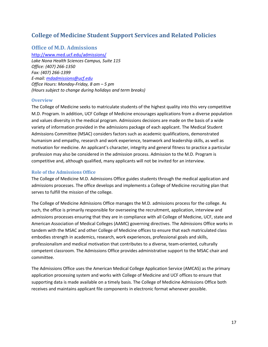# <span id="page-16-0"></span>**College of Medicine Student Support Services and Related Policies**

# <span id="page-16-1"></span>**Office of M.D. Admissions**

<http://www.med.ucf.edu/admissions/> *Lake Nona Health Sciences Campus, Suite 115 Office: (407) 266-1350 Fax: (407) 266-1399 E-mail[: mdadmissions@ucf.edu](mailto:mdadmissions@ucf.edu) Office Hours: Monday-Friday, 8 am – 5 pm (Hours subject to change during holidays and term breaks)*

# <span id="page-16-2"></span>**Overview**

The College of Medicine seeks to matriculate students of the highest quality into this very competitive M.D. Program. In addition, UCF College of Medicine encourages applications from a diverse population and values diversity in the medical program. Admissions decisions are made on the basis of a wide variety of information provided in the admissions package of each applicant. The Medical Student Admissions Committee (MSAC) considers factors such as academic qualifications, demonstrated humanism and empathy, research and work experience, teamwork and leadership skills, as well as motivation for medicine. An applicant's character, integrity and general fitness to practice a particular profession may also be considered in the admission process. Admission to the M.D. Program is competitive and, although qualified, many applicants will not be invited for an interview.

### <span id="page-16-3"></span>**Role of the Admissions Office**

The College of Medicine M.D. Admissions Office guides students through the medical application and admissions processes. The office develops and implements a College of Medicine recruiting plan that serves to fulfill the mission of the college.

The College of Medicine Admissions Office manages the M.D. admissions process for the college. As such, the office is primarily responsible for overseeing the recruitment, application, interview and admissions processes ensuring that they are in compliance with all College of Medicine, UCF, state and American Association of Medical Colleges (AAMC) governing directives. The Admissions Office works in tandem with the MSAC and other College of Medicine offices to ensure that each matriculated class embodies strength in academics, research, work experiences, professional goals and skills, professionalism and medical motivation that contributes to a diverse, team-oriented, culturally competent classroom. The Admissions Office provides administrative support to the MSAC chair and committee.

The Admissions Office uses the American Medical College Application Service (AMCAS) as the primary application processing system and works with College of Medicine and UCF offices to ensure that supporting data is made available on a timely basis. The College of Medicine Admissions Office both receives and maintains applicant file components in electronic format whenever possible.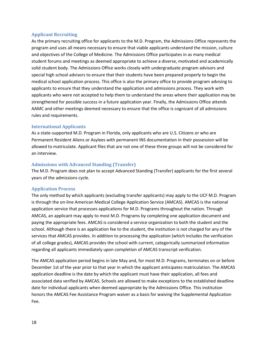### <span id="page-17-0"></span>**Applicant Recruiting**

As the primary recruiting office for applicants to the M.D. Program, the Admissions Office represents the program and uses all means necessary to ensure that viable applicants understand the mission, culture and objectives of the College of Medicine. The Admissions Office participates in as many medical student forums and meetings as deemed appropriate to achieve a diverse, motivated and academically solid student body. The Admissions Office works closely with undergraduate program advisors and special high school advisors to ensure that their students have been prepared properly to begin the medical school application process. This office is also the primary office to provide program advising to applicants to ensure that they understand the application and admissions process. They work with applicants who were not accepted to help them to understand the areas where their application may be strengthened for possible success in a future application year. Finally, the Admissions Office attends AAMC and other meetings deemed necessary to ensure that the office is cognizant of all admissions rules and requirements.

### <span id="page-17-1"></span>**International Applicants**

As a state-supported M.D. Program in Florida, only applicants who are U.S. Citizens or who are Permanent Resident Aliens or Asylees with permanent INS documentation in their possession will be allowed to matriculate. Applicant files that are not one of these three groups will not be considered for an interview.

### <span id="page-17-2"></span>**Admissions with Advanced Standing (Transfer)**

The M.D. Program does not plan to accept Advanced Standing (Transfer) applicants for the first several years of the admissions cycle.

### <span id="page-17-3"></span>**Application Process**

The only method by which applicants (excluding transfer applicants) may apply to the UCF M.D. Program is through the on-line American Medical College Application Service (AMCAS). AMCAS is the national application service that processes applications for M.D. Programs throughout the nation. Through AMCAS, an applicant may apply to most M.D. Programs by completing one application document and paying the appropriate fees. AMCAS is considered a service organization to both the student and the school. Although there is an application fee to the student, the institution is not charged for any of the services that AMCAS provides. In addition to processing the application (which includes the verification of all college grades), AMCAS provides the school with current, categorically summarized information regarding all applicants immediately upon completion of AMCAS transcript verification.

The AMCAS application period begins in late May and, for most M.D. Programs, terminates on or before December 1st of the year prior to that year in which the applicant anticipates matriculation. The AMCAS application deadline is the date by which the applicant must have their application, all fees and associated data verified by AMCAS. Schools are allowed to make exceptions to the established deadline date for individual applicants when deemed appropriate by the Admissions Office. This institution honors the AMCAS Fee Assistance Program waiver as a basis for waiving the Supplemental Application Fee.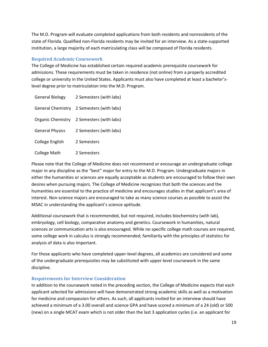The M.D. Program will evaluate completed applications from both residents and nonresidents of the state of Florida. Qualified non-Florida residents may be invited for an interview. As a state-supported institution, a large majority of each matriculating class will be composed of Florida residents.

# <span id="page-18-0"></span>**Required Academic Coursework**

The College of Medicine has established certain required academic prerequisite coursework for admissions. These requirements must be taken in residence (not online) from a properly accredited college or university in the United States. Applicants must also have completed at least a bachelor'slevel degree prior to matriculation into the M.D. Program.

| <b>General Biology</b> | 2 Semesters (with labs)                   |
|------------------------|-------------------------------------------|
|                        | General Chemistry 2 Semesters (with labs) |
|                        | Organic Chemistry 2 Semesters (with labs) |
| <b>General Physics</b> | 2 Semesters (with labs)                   |
| College English        | 2 Semesters                               |
| <b>College Math</b>    | 2 Semesters                               |

Please note that the College of Medicine does not recommend or encourage an undergraduate college major in any discipline as the "best" major for entry to the M.D. Program. Undergraduate majors in either the humanities or sciences are equally acceptable as students are encouraged to follow their own desires when pursuing majors. The College of Medicine recognizes that both the sciences and the humanities are essential to the practice of medicine and encourages studies in that applicant's area of interest. Non-science majors are encouraged to take as many science courses as possible to assist the MSAC in understanding the applicant's science aptitude.

Additional coursework that is recommended, but not required, includes biochemistry (with lab), embryology, cell biology, comparative anatomy and genetics. Coursework in humanities, natural sciences or communication arts is also encouraged. While no specific college math courses are required, some college work in calculus is strongly recommended; familiarity with the principles of statistics for analysis of data is also important.

For those applicants who have completed upper-level degrees, all academics are considered and some of the undergraduate prerequisites may be substituted with upper-level coursework in the same discipline.

# <span id="page-18-1"></span>**Requirements for Interview Consideration**

In addition to the coursework noted in the preceding section, the College of Medicine expects that each applicant selected for admissions will have demonstrated strong academic skills as well as a motivation for medicine and compassion for others. As such, all applicants invited for an interview should have achieved a minimum of a 3.00 overall and science GPA and have scored a minimum of a 24 (old) or 500 (new) on a single MCAT exam which is not older than the last 3 application cycles (i.e. an applicant for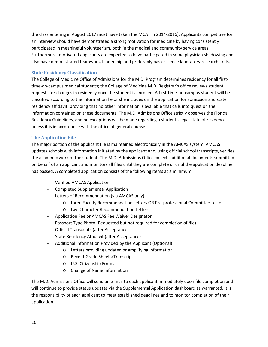the class entering in August 2017 must have taken the MCAT in 2014-2016). Applicants competitive for an interview should have demonstrated a strong motivation for medicine by having consistently participated in meaningful volunteerism, both in the medical and community service areas. Furthermore, motivated applicants are expected to have participated in some physician shadowing and also have demonstrated teamwork, leadership and preferably basic science laboratory research skills.

# <span id="page-19-0"></span>**State Residency Classification**

The College of Medicine Office of Admissions for the M.D. Program determines residency for all firsttime-on-campus medical students; the College of Medicine M.D. Registrar's office reviews student requests for changes in residency once the student is enrolled. A first-time-on-campus student will be classified according to the information he or she includes on the application for admission and state residency affidavit, providing that no other information is available that calls into question the information contained on these documents. The M.D. Admissions Office strictly observes the Florida Residency Guidelines, and no exceptions will be made regarding a student's legal state of residence unless it is in accordance with the office of general counsel.

# <span id="page-19-1"></span>**The Application File**

The major portion of the applicant file is maintained electronically in the AMCAS system. AMCAS updates schools with information initiated by the applicant and, using official school transcripts, verifies the academic work of the student. The M.D. Admissions Office collects additional documents submitted on behalf of an applicant and monitors all files until they are complete or until the application deadline has passed. A completed application consists of the following items at a minimum:

- Verified AMCAS Application
- Completed Supplemental Application
- Letters of Recommendation (via AMCAS only)
	- o three Faculty Recommendation Letters OR Pre-professional Committee Letter
	- o two Character Recommendation Letters
- Application Fee or AMCAS Fee Waiver Designator
- Passport Type Photo (Requested but not required for completion of file)
- Official Transcripts (after Acceptance)
- State Residency Affidavit (after Acceptance)
- Additional Information Provided by the Applicant (Optional)
	- o Letters providing updated or amplifying information
	- o Recent Grade Sheets/Transcript
	- o U.S. Citizenship Forms
	- o Change of Name Information

The M.D. Admissions Office will send an e-mail to each applicant immediately upon file completion and will continue to provide status updates via the Supplemental Application dashboard as warranted. It is the responsibility of each applicant to meet established deadlines and to monitor completion of their application.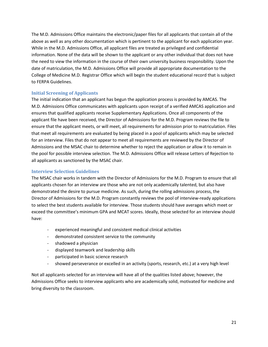The M.D. Admissions Office maintains the electronic/paper files for all applicants that contain all of the above as well as any other documentation which is pertinent to the applicant for each application year. While in the M.D. Admissions Office, all applicant files are treated as privileged and confidential information. None of the data will be shown to the applicant or any other individual that does not have the need to view the information in the course of their own university business responsibility. Upon the date of matriculation, the M.D. Admissions Office will provide all appropriate documentation to the College of Medicine M.D. Registrar Office which will begin the student educational record that is subject to FERPA Guidelines.

# <span id="page-20-0"></span>**Initial Screening of Applicants**

The initial indication that an applicant has begun the application process is provided by AMCAS. The M.D. Admissions Office communicates with applicants upon receipt of a verified AMCAS application and ensures that qualified applicants receive Supplementary Applications. Once all components of the applicant file have been received, the Director of Admissions for the M.D. Program reviews the file to ensure that the applicant meets, or will meet, all requirements for admission prior to matriculation. Files that meet all requirements are evaluated by being placed in a pool of applicants which may be selected for an interview. Files that do not appear to meet all requirements are reviewed by the Director of Admissions and the MSAC chair to determine whether to reject the application or allow it to remain in the pool for possible interview selection. The M.D. Admissions Office will release Letters of Rejection to all applicants as sanctioned by the MSAC chair.

### <span id="page-20-1"></span>**Interview Selection Guidelines**

The MSAC chair works in tandem with the Director of Admissions for the M.D. Program to ensure that all applicants chosen for an interview are those who are not only academically talented, but also have demonstrated the desire to pursue medicine. As such, during the rolling admissions process, the Director of Admissions for the M.D. Program constantly reviews the pool of interview-ready applications to select the best students available for interview. Those students should have averages which meet or exceed the committee's minimum GPA and MCAT scores. Ideally, those selected for an interview should have:

- experienced meaningful and consistent medical clinical activities
- demonstrated consistent service to the community
- shadowed a physician
- displayed teamwork and leadership skills
- participated in basic science research
- showed perseverance or excelled in an activity (sports, research, etc.) at a very high level

Not all applicants selected for an interview will have all of the qualities listed above; however, the Admissions Office seeks to interview applicants who are academically solid, motivated for medicine and bring diversity to the classroom.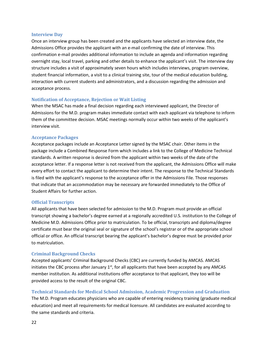### <span id="page-21-0"></span>**Interview Day**

Once an interview group has been created and the applicants have selected an interview date, the Admissions Office provides the applicant with an e-mail confirming the date of interview. This confirmation e-mail provides additional information to include an agenda and information regarding overnight stay, local travel, parking and other details to enhance the applicant's visit. The interview day structure includes a visit of approximately seven hours which includes interviews, program overview, student financial information, a visit to a clinical training site, tour of the medical education building, interaction with current students and administrators, and a discussion regarding the admission and acceptance process.

### <span id="page-21-1"></span>**Notification of Acceptance, Rejection or Wait Listing**

When the MSAC has made a final decision regarding each interviewed applicant, the Director of Admissions for the M.D. program makes immediate contact with each applicant via telephone to inform them of the committee decision. MSAC meetings normally occur within two weeks of the applicant's interview visit.

### <span id="page-21-2"></span>**Acceptance Packages**

Acceptance packages include an Acceptance Letter signed by the MSAC chair. Other items in the package include a Combined Response Form which includes a link to the College of Medicine Technical standards. A written response is desired from the applicant within two weeks of the date of the acceptance letter. If a response letter is not received from the applicant, the Admissions Office will make every effort to contact the applicant to determine their intent. The response to the Technical Standards is filed with the applicant's response to the acceptance offer in the Admissions File. Those responses that indicate that an accommodation may be necessary are forwarded immediately to the Office of Student Affairs for further action.

### <span id="page-21-3"></span>**Official Transcripts**

All applicants that have been selected for admission to the M.D. Program must provide an official transcript showing a bachelor's degree earned at a regionally accredited U.S. institution to the College of Medicine M.D. Admissions Office prior to matriculation. To be official, transcripts and diploma/degree certificate must bear the original seal or signature of the school's registrar or of the appropriate school official or office. An official transcript bearing the applicant's bachelor's degree must be provided prior to matriculation.

### <span id="page-21-4"></span>**Criminal Background Checks**

Accepted applicants' Criminal Background Checks (CBC) are currently funded by AMCAS. AMCAS initiates the CBC process after January  $1<sup>st</sup>$ , for all applicants that have been accepted by any AMCAS member institution. As additional institutions offer acceptance to that applicant, they too will be provided access to the result of the original CBC.

### <span id="page-21-5"></span>**Technical Standards for Medical School Admission, Academic Progression and Graduation**

The M.D. Program educates physicians who are capable of entering residency training (graduate medical education) and meet all requirements for medical licensure. All candidates are evaluated according to the same standards and criteria.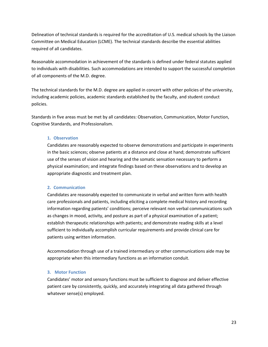Delineation of technical standards is required for the accreditation of U.S. medical schools by the Liaison Committee on Medical Education (LCME). The technical standards describe the essential abilities required of all candidates.

Reasonable accommodation in achievement of the standards is defined under federal statutes applied to individuals with disabilities. Such accommodations are intended to support the successful completion of all components of the M.D. degree.

The technical standards for the M.D. degree are applied in concert with other policies of the university, including academic policies, academic standards established by the faculty, and student conduct policies.

Standards in five areas must be met by all candidates: Observation, Communication, Motor Function, Cognitive Standards, and Professionalism.

### **1. Observation**

Candidates are reasonably expected to observe demonstrations and participate in experiments in the basic sciences; observe patients at a distance and close at hand; demonstrate sufficient use of the senses of vision and hearing and the somatic sensation necessary to perform a physical examination; and integrate findings based on these observations and to develop an appropriate diagnostic and treatment plan.

# **2. Communication**

Candidates are reasonably expected to communicate in verbal and written form with health care professionals and patients, including eliciting a complete medical history and recording information regarding patients' conditions; perceive relevant non verbal communications such as changes in mood, activity, and posture as part of a physical examination of a patient; establish therapeutic relationships with patients; and demonstrate reading skills at a level sufficient to individually accomplish curricular requirements and provide clinical care for patients using written information.

Accommodation through use of a trained intermediary or other communications aide may be appropriate when this intermediary functions as an information conduit.

### **3. Motor Function**

Candidates' motor and sensory functions must be sufficient to diagnose and deliver effective patient care by consistently, quickly, and accurately integrating all data gathered through whatever sense(s) employed.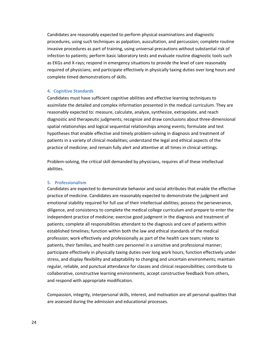Candidates are reasonably expected to perform physical examinations and diagnostic procedures, using such techniques as palpation, auscultation, and percussion; complete routine invasive procedures as part of training, using universal precautions without substantial risk of infection to patients; perform basic laboratory tests and evaluate routine diagnostic tools such as EKGs and X-rays; respond in emergency situations to provide the level of care reasonably required of physicians; and participate effectively in physically taxing duties over long hours and complete timed demonstrations of skills.

#### **4. Cognitive Standards**

Candidates must have sufficient cognitive abilities and effective learning techniques to assimilate the detailed and complex information presented in the medical curriculum. They are reasonably expected to: measure, calculate, analyze, synthesize, extrapolate, and reach diagnostic and therapeutic judgments; recognize and draw conclusions about three-dimensional spatial relationships and logical sequential relationships among events; formulate and test hypotheses that enable effective and timely problem-solving in diagnosis and treatment of patients in a variety of clinical modalities; understand the legal and ethical aspects of the practice of medicine; and remain fully alert and attentive at all times in clinical settings.

Problem-solving, the critical skill demanded by physicians, requires all of these intellectual abilities.

#### **5. Professionalism**

Candidates are expected to demonstrate behavior and social attributes that enable the effective practice of medicine. Candidates are reasonably expected to demonstrate the judgment and emotional stability required for full use of their intellectual abilities; possess the perseverance, diligence, and consistency to complete the medical college curriculum and prepare to enter the independent practice of medicine; exercise good judgment in the diagnosis and treatment of patients; complete all responsibilities attendant to the diagnosis and care of patients within established timelines; function within both the law and ethical standards of the medical profession; work effectively and professionally as part of the health care team; relate to patients, their families, and health care personnel in a sensitive and professional manner; participate effectively in physically taxing duties over long work hours, function effectively under stress, and display flexibility and adaptability to changing and uncertain environments; maintain regular, reliable, and punctual attendance for classes and clinical responsibilities; contribute to collaborative, constructive learning environments, accept constructive feedback from others, and respond with appropriate modification.

Compassion, integrity, interpersonal skills, interest, and motivation are all personal qualities that are assessed during the admission and educational processes.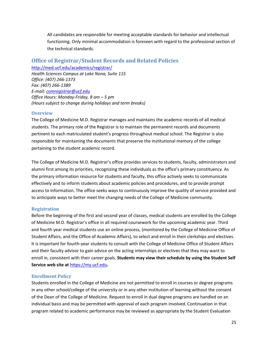All candidates are responsible for meeting acceptable standards for behavior and intellectual functioning. Only minimal accommodation is foreseen with regard to the professional section of the technical standards.

# <span id="page-24-0"></span>**Office of Registrar/Student Records and Related Policies**

<http://med.ucf.edu/academics/registrar/> *Health Sciences Campus at Lake Nona, Suite 115 Office: (407) 266-1373 Fax: (407) 266-1389 E-mail[: comregistrar@ucf.edu](mailto:comregistrar@ucf.edu) Office Hours: Monday-Friday, 8 am – 5 pm (Hours subject to change during holidays and term breaks)*

# <span id="page-24-1"></span>**Overview**

The College of Medicine M.D. Registrar manages and maintains the academic records of all medical students. The primary role of the Registrar is to maintain the permanent records and documents pertinent to each matriculated student's progress throughout medical school. The Registrar is also responsible for maintaining the documents that preserve the institutional memory of the college pertaining to the student academic record.

The College of Medicine M.D. Registrar's office provides services to students, faculty, administrators and alumni first among its priorities, recognizing these individuals as the office's primary constituency. As the primary information resource for students and faculty, this office actively seeks to communicate effectively and to inform students about academic policies and procedures, and to provide prompt access to information. The office seeks ways to continuously improve the quality of service provided and to anticipate ways to better meet the changing needs of the College of Medicine community.

# <span id="page-24-2"></span>**Registration**

Before the beginning of the first and second year of classes, medical students are enrolled by the College of Medicine M.D. Registrar's office in all required coursework for the upcoming academic year. Third and fourth year medical students use an online process, (monitored by the College of Medicine Office of Student Affairs, and the Office of Academic Affairs), to select and enroll in their clerkships and electives. It is important for fourth-year students to consult with the College of Medicine Office of Student Affairs and their faculty advisor to gain advice on the acting internships or electives that they may want to enroll in, consistent with their career goals. **Students may view their schedule by using the Student Self Service web site at** [https://my.ucf.edu](https://my.ucf.edu/)**.**

### <span id="page-24-3"></span>**Enrollment Policy**

Students enrolled in the College of Medicine are not permitted to enroll in courses or degree programs in any other school/college of the university or in any other institution of learning without the consent of the Dean of the College of Medicine. Request to enroll in dual degree programs are handled on an individual basis and may be permitted with approval of each program involved. Continuation in that program related to academic performance may be reviewed as appropriate by the Student Evaluation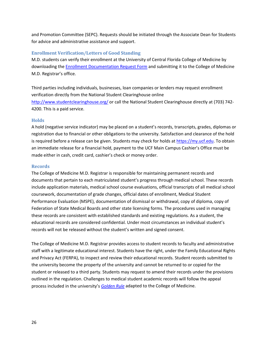and Promotion Committee (SEPC). Requests should be initiated through the Associate Dean for Students for advice and administrative assistance and support.

### <span id="page-25-0"></span>**Enrollment Verification/Letters of Good Standing**

M.D. students can verify their enrollment at the University of Central Florida College of Medicine by downloading the **Enrollment Documentation Request Form** and submitting it to the College of Medicine M.D. Registrar's office.

Third parties including individuals, businesses, loan companies or lenders may request enrollment verification directly from the National Student Clearinghouse online <http://www.studentclearinghouse.org/> or call the National Student Clearinghouse directly at (703) 742- 4200. This is a paid service.

### <span id="page-25-1"></span>**Holds**

A hold (negative service indicator) may be placed on a student's records, transcripts, grades, diplomas or registration due to financial or other obligations to the university. Satisfaction and clearance of the hold is required before a release can be given. Students may check for holds at [https://my.ucf.edu.](https://my.ucf.edu/) To obtain an immediate release for a financial hold, payment to the UCF Main Campus Cashier's Office must be made either in cash, credit card, cashier's check or money order.

#### <span id="page-25-2"></span>**Records**

The College of Medicine M.D. Registrar is responsible for maintaining permanent records and documents that pertain to each matriculated student's progress through medical school. These records include application materials, medical school course evaluations, official transcripts of all medical school coursework, documentation of grade changes, official dates of enrollment, Medical Student Performance Evaluation (MSPE), documentation of dismissal or withdrawal, copy of diploma, copy of Federation of State Medical Boards and other state licensing forms. The procedures used in managing these records are consistent with established standards and existing regulations. As a student, the educational records are considered confidential. Under most circumstances an individual student's records will not be released without the student's written and signed consent.

The College of Medicine M.D. Registrar provides access to student records to faculty and administrative staff with a legitimate educational interest. Students have the right, under the Family Educational Rights and Privacy Act (FERPA), to inspect and review their educational records. Student records submitted to the university become the property of the university and cannot be returned to or copied for the student or released to a third party. Students may request to amend their records under the provisions outlined in the regulation. Challenges to medical student academic records will follow the appeal process included in the university's *[Golden Rule](http://www.goldenrule.sdes.ucf.edu/)* adapted to the College of Medicine.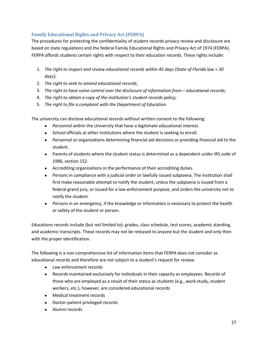# <span id="page-26-0"></span>**Family Educational Rights and Privacy Act (FERPA)**

The procedures for protecting the confidentiality of student records privacy review and disclosure are based on state regulations and the federal Family Educational Rights and Privacy Act of 1974 (FERPA). FERPA affords students certain rights with respect to their education records. These rights include:

- 1. *The right to inspect and review educational records within 45 days (State of Florida law = 30 days)*;
- 2. *The right to seek to amend educational records;*
- 3. *The right to have some control over the disclosure of information from – educational records;*
- 4. *The right to obtain a copy of the institution's student records policy;*
- 5. *The right to file a complaint with the Department of Education*

The university can disclose educational records without written consent to the following:

- Personnel within the University that have a legitimate educational interest.
- School officials at other institutions where the student is seeking to enroll.
- Personnel or organizations determining financial aid decisions or providing financial aid to the student.
- Parents of students where the student status is determined as a dependent under IRS code of 1986, section 152.
- Accrediting organizations in the performance of their accrediting duties.
- Persons in compliance with a judicial order or lawfully issued subpoena. The institution shall first make reasonable attempt to notify the student, unless the subpoena is issued from a federal grand jury, or issued for a law-enforcement purpose, and orders the university not to notify the student.
- Persons in an emergency, if the knowledge or information is necessary to protect the health or safety of the student or person.

Educations records include (but not limited to): grades, class schedule, test scores, academic standing, and academic transcripts. These records may not be released to anyone but the student and only then with the proper identification.

The following is a non-comprehensive list of information items that FERPA does not consider as educational records and therefore are not subject to a student's request for review:

- Law enforcement records
- Records maintained exclusively for individuals in their capacity as employees. Records of those who are employed as a result of their status as students (e.g., work-study, student workers, etc.), however, are considered educational records
- Medical treatment records
- Doctor-patient privileged records
- Alumni records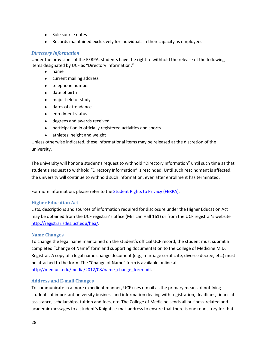- Sole source notes
- Records maintained exclusively for individuals in their capacity as employees

# *Directory Information*

Under the provisions of the FERPA, students have the right to withhold the release of the following items designated by UCF as "Directory Information:"

- name
- current mailing address
- telephone number
- date of birth
- major field of study
- dates of attendance
- enrollment status
- degrees and awards received
- participation in officially registered activities and sports
- athletes' height and weight

Unless otherwise indicated, these informational items may be released at the discretion of the university.

The university will honor a student's request to withhold "Directory Information" until such time as that student's request to withhold "Directory Information" is rescinded. Until such rescindment is affected, the university will continue to withhold such information, even after enrollment has terminated.

For more information, please refer to the [Student Rights to Privacy \(FERPA\).](http://registrar.ucf.edu/ferpa)

### <span id="page-27-0"></span>**Higher Education Act**

Lists, descriptions and sources of information required for disclosure under the Higher Education Act may be obtained from the UCF registrar's office (Millican Hall 161) or from the UCF registrar's website [http://registrar.sdes.ucf.edu/hea/.](http://registrar.sdes.ucf.edu/hea/)

### <span id="page-27-1"></span>**Name Changes**

To change the legal name maintained on the student's official UCF record, the student must submit a completed "Change of Name" form and supporting documentation to the College of Medicine M.D. Registrar. A copy of a legal name change document (e.g., marriage certificate, divorce decree, etc.) must be attached to the form. The "Change of Name" form is available online at [http://med.ucf.edu/media/2012/08/name\\_change\\_form.pdf.](http://med.ucf.edu/media/2012/08/name_change_form.pdf)

# <span id="page-27-2"></span>**Address and E-mail Changes**

To communicate in a more expedient manner, UCF uses e-mail as the primary means of notifying students of important university business and information dealing with registration, deadlines, financial assistance, scholarships, tuition and fees, etc. The College of Medicine sends all business-related and academic messages to a student's Knights e-mail address to ensure that there is one repository for that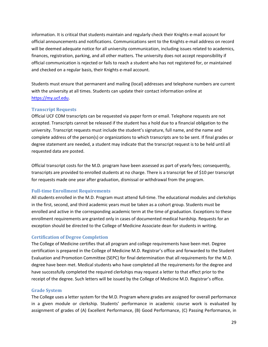information. It is critical that students maintain and regularly check their Knights e-mail account for official announcements and notifications. Communications sent to the Knights e-mail address on record will be deemed adequate notice for all university communication, including issues related to academics, finances, registration, parking, and all other matters. The university does not accept responsibility if official communication is rejected or fails to reach a student who has not registered for, or maintained and checked on a regular basis, their Knights e-mail account.

Students must ensure that permanent and mailing (local) addresses and telephone numbers are current with the university at all times. Students can update their contact information online at [https://my.ucf.edu.](https://my.ucf.edu/)

### <span id="page-28-0"></span>**Transcript Requests**

Official UCF COM transcripts can be requested via paper form or email. Telephone requests are not accepted. Transcripts cannot be released if the student has a hold due to a financial obligation to the university. Transcript requests must include the student's signature, full name, and the name and complete address of the person(s) or organizations to which transcripts are to be sent. If final grades or degree statement are needed, a student may indicate that the transcript request is to be held until all requested data are posted.

Official transcript costs for the M.D. program have been assessed as part of yearly fees; consequently, transcripts are provided to enrolled students at no charge. There is a transcript fee of \$10 per transcript for requests made one year after graduation, dismissal or withdrawal from the program.

### <span id="page-28-1"></span>**Full-time Enrollment Requirements**

All students enrolled in the M.D. Program must attend full-time. The educational modules and clerkships in the first, second, and third academic years must be taken as a cohort group. Students must be enrolled and active in the corresponding academic term at the time of graduation. Exceptions to these enrollment requirements are granted only in cases of documented medical hardship. Requests for an exception should be directed to the College of Medicine Associate dean for students in writing.

### <span id="page-28-2"></span>**Certification of Degree Completion**

The College of Medicine certifies that all program and college requirements have been met. Degree certification is prepared in the College of Medicine M.D. Registrar's office and forwarded to the Student Evaluation and Promotion Committee (SEPC) for final determination that all requirements for the M.D. degree have been met. Medical students who have completed all the requirements for the degree and have successfully completed the required clerkships may request a letter to that effect prior to the receipt of the degree. Such letters will be issued by the College of Medicine M.D. Registrar's office.

#### <span id="page-28-3"></span>**Grade System**

The College uses a letter system for the M.D. Program where grades are assigned for overall performance in a given module or clerkship. Students' performance in academic course work is evaluated by assignment of grades of (A) Excellent Performance, (B) Good Performance, (C) Passing Performance, in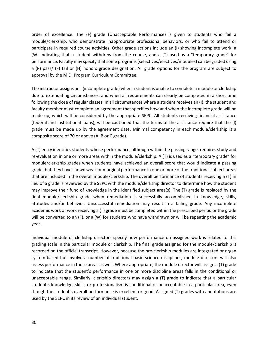order of excellence. The (F) grade (Unacceptable Performance) is given to students who fail a module/clerkship, who demonstrate inappropriate professional behaviors, or who fail to attend or participate in required course activities. Other grade actions include an (I) showing incomplete work, a (W) indicating that a student withdrew from the course, and a (T) used as a "temporary grade" for performance. Faculty may specify that some programs (selectives/electives/modules) can be graded using a (P) pass/ (F) fail or (H) honors grade designation. All grade options for the program are subject to approval by the M.D. Program Curriculum Committee.

The instructor assigns an I (incomplete grade) when a student is unable to complete a module or clerkship due to extenuating circumstances, and when all requirements can clearly be completed in a short time following the close of regular classes. In all circumstances where a student receives an (I), the student and faculty member must complete an agreement that specifies how and when the incomplete grade will be made up, which will be considered by the appropriate SEPC. All students receiving financial assistance (federal and institutional loans), will be cautioned that the terms of the assistance require that the (I) grade must be made up by the agreement date. Minimal competency in each module/clerkship is a composite score of 70 or above (A, B or C grade).

A (T) entry identifies students whose performance, although within the passing range, requires study and re-evaluation in one or more areas within the module/clerkship. A (T) is used as a "temporary grade" for module/clerkship grades when students have achieved an overall score that would indicate a passing grade, but they have shown weak or marginal performance in one or more of the traditional subject areas that are included in the overall module/clerkship. The overall performance of students receiving a (T) in lieu of a grade is reviewed by the SEPC with the module/clerkship director to determine how the student may improve their fund of knowledge in the identified subject area(s). The (T) grade is replaced by the final module/clerkship grade when remediation is successfully accomplished in knowledge, skills, attitudes and/or behavior. Unsuccessful remediation may result in a failing grade. Any incomplete academic work or work receiving a (T) grade must be completed within the prescribed period or the grade will be converted to an (F), or a (W) for students who have withdrawn or will be repeating the academic year.

Individual module or clerkship directors specify how performance on assigned work is related to this grading scale in the particular module or clerkship. The final grade assigned for the module/clerkship is recorded on the official transcript. However, because the pre-clerkship modules are integrated or organ system-based but involve a number of traditional basic science disciplines, module directors will also assess performance in those areas as well. Where appropriate, the module director will assign a (T) grade to indicate that the student's performance in one or more discipline areas falls in the conditional or unacceptable range. Similarly, clerkship directors may assign a (T) grade to indicate that a particular student's knowledge, skills, or professionalism is conditional or unacceptable in a particular area, even though the student's overall performance is excellent or good. Assigned (T) grades with annotations are used by the SEPC in its review of an individual student.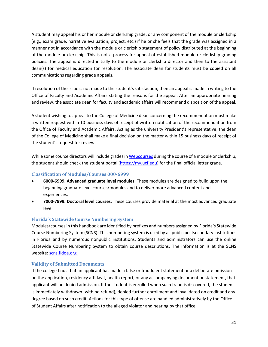A student may appeal his or her module or clerkship grade, or any component of the module or clerkship (e.g., exam grade, narrative evaluation, project, etc.) if he or she feels that the grade was assigned in a manner not in accordance with the module or clerkship statement of policy distributed at the beginning of the module or clerkship. This is not a process for appeal of established module or clerkship grading policies. The appeal is directed initially to the module or clerkship director and then to the assistant dean(s) for medical education for resolution. The associate dean for students must be copied on all communications regarding grade appeals.

If resolution of the issue is not made to the student's satisfaction, then an appeal is made in writing to the Office of Faculty and Academic Affairs stating the reasons for the appeal. After an appropriate hearing and review, the associate dean for faculty and academic affairs will recommend disposition of the appeal.

A student wishing to appeal to the College of Medicine dean concerning the recommendation must make a written request within 10 business days of receipt of written notification of the recommendation from the Office of Faculty and Academic Affairs. Acting as the university President's representative, the dean of the College of Medicine shall make a final decision on the matter within 15 business days of receipt of the student's request for review.

While some course directors will include grades i[n Webcourses](https://webcourses.ucf.edu/) during the course of a module or clerkship, the student should check the student portal [\(https://my.ucf.edu\)](https://my.ucf.edu/) for the final official letter grade.

# <span id="page-30-0"></span>**Classification of Modules/Courses 000-6999**

- **6000-6999. Advanced graduate level modules**. These modules are designed to build upon the beginning graduate level courses/modules and to deliver more advanced content and experiences.
- **7000-7999. Doctoral level courses**. These courses provide material at the most advanced graduate level.

# <span id="page-30-1"></span>**Florida's Statewide Course Numbering System**

Modules/courses in this handbook are identified by prefixes and numbers assigned by Florida's Statewide Course Numbering System (SCNS). This numbering system is used by all public postsecondary institutions in Florida and by numerous nonpublic institutions. Students and administrators can use the online Statewide Course Numbering System to obtain course descriptions. The information is at the SCNS website[: scns.fldoe.org.](http://scns.fldoe.org/)

# <span id="page-30-2"></span>**Validity of Submitted Documents**

If the college finds that an applicant has made a false or fraudulent statement or a deliberate omission on the application, residency affidavit, health report, or any accompanying document or statement, that applicant will be denied admission. If the student is enrolled when such fraud is discovered, the student is immediately withdrawn (with no refund), denied further enrollment and invalidated on credit and any degree based on such credit. Actions for this type of offense are handled administratively by the Office of Student Affairs after notification to the alleged violator and hearing by that office.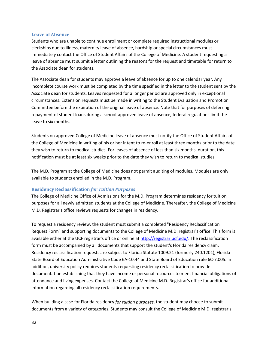### <span id="page-31-0"></span>**Leave of Absence**

Students who are unable to continue enrollment or complete required instructional modules or clerkships due to illness, maternity leave of absence, hardship or special circumstances must immediately contact the Office of Student Affairs of the College of Medicine. A student requesting a leave of absence must submit a letter outlining the reasons for the request and timetable for return to the Associate dean for students.

The Associate dean for students may approve a leave of absence for up to one calendar year. Any incomplete course work must be completed by the time specified in the letter to the student sent by the Associate dean for students. Leaves requested for a longer period are approved only in exceptional circumstances. Extension requests must be made in writing to the Student Evaluation and Promotion Committee before the expiration of the original leave of absence. Note that for purposes of deferring repayment of student loans during a school-approved leave of absence, federal regulations limit the leave to six months.

Students on approved College of Medicine leave of absence must notify the Office of Student Affairs of the College of Medicine in writing of his or her intent to re-enroll at least three months prior to the date they wish to return to medical studies. For leaves of absence of less than six months' duration, this notification must be at least six weeks prior to the date they wish to return to medical studies.

The M.D. Program at the College of Medicine does not permit auditing of modules. Modules are only available to students enrolled in the M.D. Program.

### <span id="page-31-1"></span>**Residency Reclassification** *for Tuition Purposes*

The College of Medicine Office of Admissions for the M.D. Program determines residency for tuition purposes for all newly admitted students at the College of Medicine. Thereafter, the College of Medicine M.D. Registrar's office reviews requests for changes in residency.

To request a residency review, the student must submit a completed "Residency Reclassification Request Form" and supporting documents to the College of Medicine M.D. registrar's office. This form is available either at the UCF registrar's office or online at [http://registrar.ucf.edu/.](http://registrar.ucf.edu/) The reclassification form must be accompanied by all documents that support the student's Florida residency claim. Residency reclassification requests are subject to Florida Statute 1009.21 (formerly 240.1201), Florida State Board of Education Administrative Code 6A-10.44 and State Board of Education rule 6C-7.005. In addition, university policy requires students requesting residency reclassification to provide documentation establishing that they have income or personal resources to meet financial obligations of attendance and living expenses. Contact the College of Medicine M.D. Registrar's office for additional information regarding all residency reclassification requirements.

When building a case for Florida residency *for tuition purposes*, the student may choose to submit documents from a variety of categories. Students may consult the College of Medicine M.D. registrar's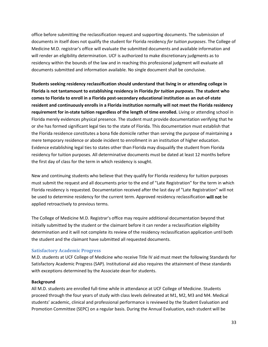office before submitting the reclassification request and supporting documents. The submission of documents in itself does not qualify the student for Florida residency *for tuition purposes*. The College of Medicine M.D. registrar's office will evaluate the submitted documents and available information and will render an eligibility determination. UCF is authorized to make discretionary judgments as to residency within the bounds of the law and in reaching this professional judgment will evaluate all documents submitted and information available. No single document shall be conclusive.

**Students seeking residency reclassification should understand that living in or attending college in Florida is not tantamount to establishing residency in Florida** *for tuition purposes***. The student who comes to Florida to enroll in a Florida post-secondary educational institution as an out-of-state resident and continuously enrolls in a Florida institution normally will not meet the Florida residency requirement for in-state tuition regardless of the length of time enrolled.** Living or attending school in Florida merely evidences physical presence. The student must provide documentation verifying that he or she has formed significant legal ties to the state of Florida. This documentation must establish that the Florida residence constitutes a bona fide domicile rather than serving the purpose of maintaining a mere temporary residence or abode incident to enrollment in an institution of higher education. Evidence establishing legal ties to states other than Florida may disqualify the student from Florida residency for tuition purposes. All determinative documents must be dated at least 12 months before the first day of class for the term in which residency is sought.

New and continuing students who believe that they qualify for Florida residency for tuition purposes must submit the request and all documents prior to the end of "Late Registration" for the term in which Florida residency is requested. Documentation received after the last day of "Late Registration" will not be used to determine residency for the current term. Approved residency reclassification **will not** be applied retroactively to previous terms.

The College of Medicine M.D. Registrar's office may require additional documentation beyond that initially submitted by the student or the claimant before it can render a reclassification eligibility determination and it will not complete its review of the residency reclassification application until both the student and the claimant have submitted all requested documents.

### <span id="page-32-0"></span>**Satisfactory Academic Progress**

M.D. students at UCF College of Medicine who receive Title IV aid must meet the following Standards for Satisfactory Academic Progress (SAP). Institutional aid also requires the attainment of these standards with exceptions determined by the Associate dean for students.

### **Background**

All M.D. students are enrolled full-time while in attendance at UCF College of Medicine. Students proceed through the four years of study with class levels delineated at M1, M2, M3 and M4. Medical students' academic, clinical and professional performance is reviewed by the Student Evaluation and Promotion Committee (SEPC) on a regular basis. During the Annual Evaluation, each student will be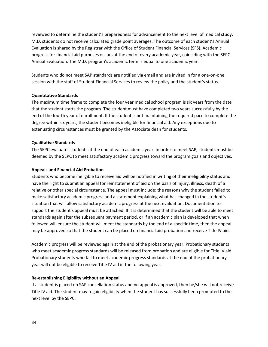reviewed to determine the student's preparedness for advancement to the next level of medical study. M.D. students do not receive calculated grade point averages. The outcome of each student's Annual Evaluation is shared by the Registrar with the Office of Student Financial Services (SFS). Academic progress for financial aid purposes occurs at the end of every academic year, coinciding with the SEPC Annual Evaluation. The M.D. program's academic term is equal to one academic year.

Students who do not meet SAP standards are notified via email and are invited in for a one-on-one session with the staff of Student Financial Services to review the policy and the student's status.

### **Quantitative Standards**

The maximum time frame to complete the four year medical school program is six years from the date that the student starts the program. The student must have completed two years successfully by the end of the fourth year of enrollment. If the student is not maintaining the required pace to complete the degree within six years, the student becomes ineligible for financial aid. Any exceptions due to extenuating circumstances must be granted by the Associate dean for students.

# **Qualitative Standards**

The SEPC evaluates students at the end of each academic year. In order to meet SAP, students must be deemed by the SEPC to meet satisfactory academic progress toward the program goals and objectives.

# **Appeals and Financial Aid Probation**

Students who become ineligible to receive aid will be notified in writing of their ineligibility status and have the right to submit an appeal for reinstatement of aid on the basis of injury, illness, death of a relative or other special circumstance. The appeal must include: the reasons why the student failed to make satisfactory academic progress and a statement explaining what has changed in the student's situation that will allow satisfactory academic progress at the next evaluation. Documentation to support the student's appeal must be attached. If it is determined that the student will be able to meet standards again after the subsequent payment period, or if an academic plan is developed that when followed will ensure the student will meet the standards by the end of a specific time, then the appeal may be approved so that the student can be placed on financial aid probation and receive Title IV aid.

Academic progress will be reviewed again at the end of the probationary year. Probationary students who meet academic progress standards will be released from probation and are eligible for Title IV aid. Probationary students who fail to meet academic progress standards at the end of the probationary year will not be eligible to receive Title IV aid in the following year.

# **Re-establishing Eligibility without an Appeal**

If a student is placed on SAP cancellation status and no appeal is approved, then he/she will not receive Title IV aid. The student may regain eligibility when the student has successfully been promoted to the next level by the SEPC.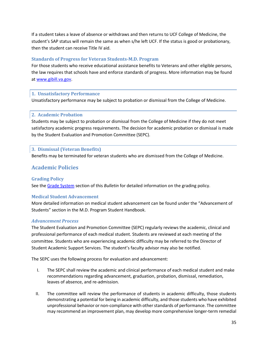If a student takes a leave of absence or withdraws and then returns to UCF College of Medicine, the student's SAP status will remain the same as when s/he left UCF. If the status is good or probationary, then the student can receive Title IV aid.

# <span id="page-34-0"></span>**Standards of Progress for Veteran Students-M.D. Program**

For those students who receive educational assistance benefits to Veterans and other eligible persons, the law requires that schools have and enforce standards of progress. More information may be found at [www.gibill.va.gov.](http://www.gibill.va.gov/)

# <span id="page-34-1"></span>**1. Unsatisfactory Performance**

Unsatisfactory performance may be subject to probation or dismissal from the College of Medicine.

# <span id="page-34-2"></span>**2. Academic Probation**

Students may be subject to probation or dismissal from the College of Medicine if they do not meet satisfactory academic progress requirements. The decision for academic probation or dismissal is made by the Student Evaluation and Promotion Committee (SEPC).

# <span id="page-34-3"></span>**3. Dismissal (Veteran Benefits)**

Benefits may be terminated for veteran students who are dismissed from the College of Medicine.

# <span id="page-34-4"></span>**Academic Policies**

# <span id="page-34-5"></span>**Grading Policy**

See the [Grade System](#page-28-3) section of this *Bulletin* for detailed information on the grading policy.

# <span id="page-34-6"></span>**Medical Student Advancement**

More detailed information on medical student advancement can be found under the "Advancement of Students" section in the M.D. Program Student Handbook.

### *Advancement Process*

The Student Evaluation and Promotion Committee (SEPC) regularly reviews the academic, clinical and professional performance of each medical student. Students are reviewed at each meeting of the committee. Students who are experiencing academic difficulty may be referred to the Director of Student Academic Support Services. The student's faculty advisor may also be notified.

The SEPC uses the following process for evaluation and advancement:

- I. The SEPC shall review the academic and clinical performance of each medical student and make recommendations regarding advancement, graduation, probation, dismissal, remediation, leaves of absence, and re-admission.
- II. The committee will review the performance of students in academic difficulty, those students demonstrating a potential for being in academic difficulty, and those students who have exhibited unprofessional behavior or non-compliance with other standards of performance. The committee may recommend an improvement plan, may develop more comprehensive longer-term remedial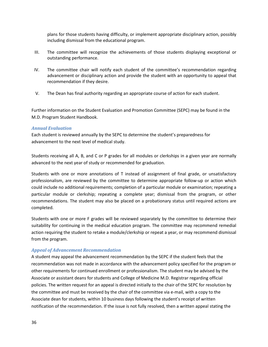plans for those students having difficulty, or implement appropriate disciplinary action, possibly including dismissal from the educational program.

- III. The committee will recognize the achievements of those students displaying exceptional or outstanding performance.
- IV. The committee chair will notify each student of the committee's recommendation regarding advancement or disciplinary action and provide the student with an opportunity to appeal that recommendation if they desire.
- V. The Dean has final authority regarding an appropriate course of action for each student.

Further information on the Student Evaluation and Promotion Committee (SEPC) may be found in the M.D. Program Student Handbook.

# *Annual Evaluation*

Each student is reviewed annually by the SEPC to determine the student's preparedness for advancement to the next level of medical study.

Students receiving all A, B, and C or P grades for all modules or clerkships in a given year are normally advanced to the next year of study or recommended for graduation.

Students with one or more annotations of T instead of assignment of final grade, or unsatisfactory professionalism, are reviewed by the committee to determine appropriate follow-up or action which could include no additional requirements; completion of a particular module or examination; repeating a particular module or clerkship; repeating a complete year; dismissal from the program, or other recommendations. The student may also be placed on a probationary status until required actions are completed.

Students with one or more F grades will be reviewed separately by the committee to determine their suitability for continuing in the medical education program. The committee may recommend remedial action requiring the student to retake a module/clerkship or repeat a year, or may recommend dismissal from the program.

# *Appeal of Advancement Recommendation*

A student may appeal the advancement recommendation by the SEPC if the student feels that the recommendation was not made in accordance with the advancement policy specified for the program or other requirements for continued enrollment or professionalism. The student may be advised by the Associate or assistant deans for students and College of Medicine M.D. Registrar regarding official policies. The written request for an appeal is directed initially to the chair of the SEPC for resolution by the committee and must be received by the chair of the committee via e-mail, with a copy to the Associate dean for students, within 10 business days following the student's receipt of written notification of the recommendation. If the issue is not fully resolved, then a written appeal stating the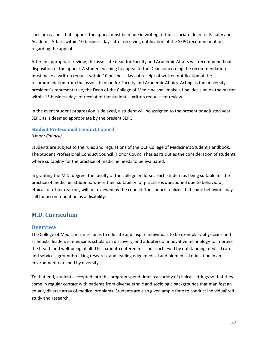specific reasons that support the appeal must be made in writing to the associate dean for Faculty and Academic Affairs within 10 business days after receiving notification of the SEPC recommendation regarding the appeal.

After an appropriate review, the associate dean for Faculty and Academic Affairs will recommend final disposition of the appeal. A student wishing to appeal to the Dean concerning the recommendation must make a written request within 10 business days of receipt of written notification of the recommendation from the associate dean for Faculty and Academic Affairs. Acting as the university president's representative, the Dean of the College of Medicine shall make a final decision on the matter within 15 business days of receipt of the student's written request for review.

In the event student progression is delayed, a student will be assigned to the present or adjusted year SEPC as is deemed appropriate by the present SEPC.

# <span id="page-36-0"></span>**Student Professional Conduct Council** *(Honor Council)*

Students are subject to the rules and regulations of the UCF College of Medicine's Student Handbook. The Student Professional Conduct Council (Honor Council) has as its duties the consideration of students where suitability for the practice of medicine needs to be evaluated.

In granting the M.D. degree, the faculty of the college endorses each student as being suitable for the practice of medicine. Students, where their suitability for practice is questioned due to behavioral, ethical, or other reasons, will be reviewed by the council. The council realizes that some behaviors may call for accommodation as a disability.

# <span id="page-36-1"></span>**M.D. Curriculum**

# <span id="page-36-2"></span>**Overview**

The College of Medicine's mission is to educate and inspire individuals to be exemplary physicians and scientists, leaders in medicine, scholars in discovery, and adopters of innovative technology to improve the health and well-being of all. This patient-centered mission is achieved by outstanding medical care and services, groundbreaking research, and leading edge medical and biomedical education in an environment enriched by diversity.

To that end, students accepted into this program spend time in a variety of clinical settings so that they come in regular contact with patients from diverse ethnic and sociologic backgrounds that manifest an equally diverse array of medical problems. Students are also given ample time to conduct individualized study and research.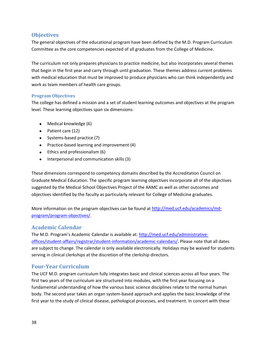# <span id="page-37-0"></span>**Objectives**

The general objectives of the educational program have been defined by the M.D. Program Curriculum Committee as the core competencies expected of all graduates from the College of Medicine.

The curriculum not only prepares physicians to practice medicine, but also incorporates several themes that begin in the first year and carry through until graduation. These themes address current problems with medical education that must be improved to produce physicians who can think independently and work as team members of health care groups.

# <span id="page-37-1"></span>**Program Objectives**

The college has defined a mission and a set of student learning outcomes and objectives at the program level. These learning objectives span six dimensions:

- Medical knowledge (6)
- Patient care (12)
- Systems-based practice (7)
- Practice-based learning and improvement (4)
- Ethics and professionalism (6)
- Interpersonal and communication skills (3)

These dimensions correspond to competency domains described by the Accreditation Council on Graduate Medical Education. The specific program learning objectives incorporate all of the objectives suggested by the Medical School Objectives Project of the AAMC as well as other outcomes and objectives identified by the faculty as particularly relevant for College of Medicine graduates.

More information on the program objectives can be found at [http://med.ucf.edu/academics/md](http://med.ucf.edu/academics/md-program/program-objectives/)[program/program-objectives/.](http://med.ucf.edu/academics/md-program/program-objectives/)

# <span id="page-37-2"></span>**Academic Calendar**

The M.D. Program's Academic Calendar is available at: [http://med.ucf.edu/administrative](http://med.ucf.edu/administrative-offices/student-affairs/registrar/student-information/academic-calendars/)[offices/student-affairs/registrar/student-information/academic-calendars/.](http://med.ucf.edu/administrative-offices/student-affairs/registrar/student-information/academic-calendars/) Please note that all dates are subject to change. The calendar is only available electronically. Holidays may be waived for students serving in clinical clerkships at the discretion of the clerkship directors.

# <span id="page-37-3"></span>**Four-Year Curriculum**

The UCF M.D. program curriculum fully integrates basic and clinical sciences across all four years. The first two years of the curriculum are structured into modules, with the first year focusing on a fundamental understanding of how the various basic science disciplines relate to the normal human body. The second year takes an organ system-based approach and applies the basic knowledge of the first year to the study of clinical disease, pathological processes, and treatment. In concert with these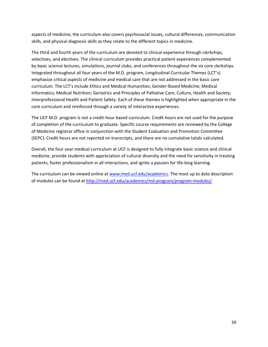aspects of medicine, the curriculum also covers psychosocial issues, cultural differences, communication skills, and physical diagnosis skills as they relate to the different topics in medicine.

The third and fourth years of the curriculum are devoted to clinical experience through clerkships, selectives, and electives. The clinical curriculum provides practical patient experiences complemented by basic science lectures, simulations, journal clubs, and conferences throughout the six core clerkships. Integrated throughout all four years of the M.D. program, Longitudinal Curricular Themes (LCT's) emphasize critical aspects of medicine and medical care that are not addressed in the basic core curriculum. The LCT's include Ethics and Medical Humanities; Gender-Based Medicine; Medical Informatics; Medical Nutrition; Geriatrics and Principles of Palliative Care; Culture, Health and Society; Interprofessional Health and Patient Safety. Each of these themes is highlighted when appropriate in the core curriculum and reinforced through a variety of interactive experiences.

The UCF M.D. program is not a credit-hour based curriculum. Credit hours are not used for the purpose of completion of the curriculum to graduate. Specific course requirements are reviewed by the College of Medicine registrar office in conjunction with the Student Evaluation and Promotion Committee (SEPC). Credit hours are not reported on transcripts, and there are no cumulative totals calculated.

Overall, the four year medical curriculum at UCF is designed to fully integrate basic science and clinical medicine, provide students with appreciation of cultural diversity and the need for sensitivity in treating patients, foster professionalism in all interactions, and ignite a passion for life-long learning.

The curriculum can be viewed online at [www.med.ucf.edu/academics.](http://www.med.ucf.edu/academics) The most up to date description of modules can be found at [http://med.ucf.edu/academics/md-program/program-modules/.](http://med.ucf.edu/academics/md-program/program-modules/)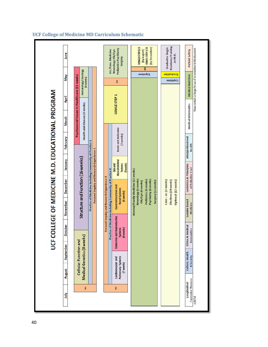|                                    |                                                             |                                                    | 군<br>다                        |                                                                 |                                            |                                                                                                                                |                                                           |                                        | COLLEGE OF MEDICINE M.D. EDUCATIONAL PROGRAM                                 |              |                                  |                                                                            |  |
|------------------------------------|-------------------------------------------------------------|----------------------------------------------------|-------------------------------|-----------------------------------------------------------------|--------------------------------------------|--------------------------------------------------------------------------------------------------------------------------------|-----------------------------------------------------------|----------------------------------------|------------------------------------------------------------------------------|--------------|----------------------------------|----------------------------------------------------------------------------|--|
| 言                                  | August                                                      | September                                          |                               | <b>October</b>                                                  | November                                   | <b>December</b>                                                                                                                | January                                                   | February                               | March                                                                        | April        | <b>May</b>                       | <u>lune</u>                                                                |  |
| E                                  |                                                             | Medical Genetics (8 weeks<br>Cellular Function and |                               |                                                                 |                                            | Structure and Function (16 weeks)                                                                                              |                                                           |                                        | Psychosocial Issues in Healthcare (11 weeks)<br>Health and Disease (9 weeks) |              | Hematology/Oncology<br>(4 weeks) |                                                                            |  |
|                                    |                                                             |                                                    |                               |                                                                 |                                            | Practice of Medicine including Community of Practice 1<br>Focused Inquiry and Research Experience 1                            |                                                           |                                        |                                                                              |              |                                  |                                                                            |  |
|                                    |                                                             |                                                    |                               |                                                                 |                                            |                                                                                                                                |                                                           |                                        |                                                                              |              |                                  |                                                                            |  |
|                                    |                                                             |                                                    |                               |                                                                 | Focused Inquiry and Research Experience II |                                                                                                                                |                                                           |                                        |                                                                              |              |                                  |                                                                            |  |
| <u>2</u>                           | <b>Pulmonary Systems</b><br>Cardiovascular and<br>(7 weeks) |                                                    |                               | <b>Endocrine and Reproductive</b><br>(6weeks)<br><b>Systems</b> |                                            | Practice of Medicine including Community of Practice II<br>Gastrointestinal and<br><b>Renal Systems</b><br>(6 weeks)           | Musculoskeletal<br>(3 weeks)<br><b>Systems</b><br>Skinand | <b>Brain and Behavior</b><br>(7 weeks) |                                                                              | USMLE STEP 1 | 2                                | Pediatrics Psychiatry<br>Int./Fam. Medicine<br>Neurology Ob/Gyn<br>Surgery |  |
|                                    |                                                             |                                                    |                               |                                                                 |                                            |                                                                                                                                |                                                           |                                        |                                                                              |              |                                  |                                                                            |  |
|                                    |                                                             |                                                    |                               |                                                                 |                                            | Internal/Family Medicine (12 weeks)<br>Neurology (6 weeks)<br>Psychiatry (6 weeks)<br>Pediatrics (6 weeks)<br>Ob/Gyn (6 weeks) |                                                           |                                        |                                                                              |              | Capstone                         | USMLE STEP2CS<br>(by December)<br>USMLE STEP 2 CK<br>(by August)<br>š      |  |
|                                    |                                                             |                                                    |                               |                                                                 |                                            | Surgery (12 weeks)                                                                                                             |                                                           |                                        |                                                                              |              |                                  |                                                                            |  |
|                                    |                                                             |                                                    |                               |                                                                 |                                            | Core-A1 (4 weeks)<br>Electives (28 weeks)                                                                                      |                                                           |                                        |                                                                              |              | uojtenpero<br>Capstone           | Residency Training<br>Graduates begin<br>as M.D.                           |  |
|                                    |                                                             |                                                    |                               |                                                                 |                                            | Optional (12 weeks)                                                                                                            |                                                           |                                        |                                                                              |              |                                  |                                                                            |  |
| Curricular Themes:<br>Longitudinal |                                                             | Culture, Health<br>& Society                       | <b>Humanities</b><br>Ethics & | <b>Medical</b>                                                  | <b>Gender Based</b><br>Medicine            | Geriatrics & Principles<br>of Palliative Care                                                                                  |                                                           | Interprofessional<br>Health            | <b>Medical Informatics</b>                                                   |              | <b>Medical Nutrition</b>         | Patient Safety                                                             |  |
| 4/8/16                             |                                                             |                                                    |                               |                                                                 |                                            |                                                                                                                                |                                                           |                                        |                                                                              |              |                                  | Please contact Liz Borges for use of or corrections to this document.      |  |
|                                    |                                                             |                                                    |                               |                                                                 |                                            |                                                                                                                                |                                                           |                                        |                                                                              |              |                                  |                                                                            |  |

# <span id="page-39-0"></span>**UCF College of Medicine MD Curriculum Schematic**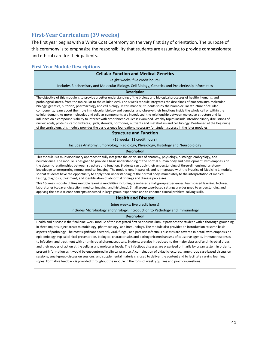# <span id="page-40-0"></span>**First-Year Curriculum (39 weeks)**

The first year begins with a White Coat Ceremony on the very first day of orientation. The purpose of this ceremony is to emphasize the responsibility that students are assuming to provide compassionate and ethical care for their patients.

# <span id="page-40-1"></span>**First Year Module Descriptions**

| <b>Cellular Function and Medical Genetics</b>                                                                                                                                                                                                                                                                                                                                                                                                                                                                                                                                                                                                                                                                                                                                                                                                                                                                                                                                                                                                                                                                                                                                                                                                                                          |
|----------------------------------------------------------------------------------------------------------------------------------------------------------------------------------------------------------------------------------------------------------------------------------------------------------------------------------------------------------------------------------------------------------------------------------------------------------------------------------------------------------------------------------------------------------------------------------------------------------------------------------------------------------------------------------------------------------------------------------------------------------------------------------------------------------------------------------------------------------------------------------------------------------------------------------------------------------------------------------------------------------------------------------------------------------------------------------------------------------------------------------------------------------------------------------------------------------------------------------------------------------------------------------------|
| (eight weeks; five credit hours)                                                                                                                                                                                                                                                                                                                                                                                                                                                                                                                                                                                                                                                                                                                                                                                                                                                                                                                                                                                                                                                                                                                                                                                                                                                       |
| Includes Biochemistry and Molecular Biology, Cell Biology, Genetics and Pre-clerkship Informatics                                                                                                                                                                                                                                                                                                                                                                                                                                                                                                                                                                                                                                                                                                                                                                                                                                                                                                                                                                                                                                                                                                                                                                                      |
| <b>Description</b>                                                                                                                                                                                                                                                                                                                                                                                                                                                                                                                                                                                                                                                                                                                                                                                                                                                                                                                                                                                                                                                                                                                                                                                                                                                                     |
| The objective of this module is to provide a better understanding of the biology and biological processes of healthy humans, and<br>pathological states, from the molecular to the cellular level. The 8 week module integrates the disciplines of biochemistry, molecular<br>biology, genetics, nutrition, pharmacology and cell biology. In this manner, students study the biomolecular structure of cellular<br>components, learn about their role in molecular biology and genetics, and observe their functions inside the whole cell or within the<br>cellular domain. As more molecules and cellular components are introduced, the relationship between molecular structure and its<br>influence on a compound's ability to interact with other biomolecules is examined. Weekly topics include interdisciplinary discussions of<br>nucleic acids, proteins, carbohydrates, lipids, steroids, hormones, nutrients and metabolism and cell biology. Positioned at the beginning<br>of the curriculum, this module provides the basic science foundations necessary for student success in the later modules.                                                                                                                                                                   |
| <b>Structure and Function</b>                                                                                                                                                                                                                                                                                                                                                                                                                                                                                                                                                                                                                                                                                                                                                                                                                                                                                                                                                                                                                                                                                                                                                                                                                                                          |
| (16 weeks; 11 credit hours)                                                                                                                                                                                                                                                                                                                                                                                                                                                                                                                                                                                                                                                                                                                                                                                                                                                                                                                                                                                                                                                                                                                                                                                                                                                            |
| Includes Anatomy, Embryology, Radiology, Physiology, Histology and Neurobiology                                                                                                                                                                                                                                                                                                                                                                                                                                                                                                                                                                                                                                                                                                                                                                                                                                                                                                                                                                                                                                                                                                                                                                                                        |
| <b>Description</b>                                                                                                                                                                                                                                                                                                                                                                                                                                                                                                                                                                                                                                                                                                                                                                                                                                                                                                                                                                                                                                                                                                                                                                                                                                                                     |
| This module is a multidisciplinary approach to fully integrate the disciplines of anatomy, physiology, histology, embryology, and<br>neuroscience. The module is designed to provide a basic understanding of the normal human body and development, with emphasis on<br>the dynamic relationships between structure and function. Students can apply their understanding of three-dimensional anatomy<br>knowledge to interpreting normal medical imaging. The module runs in parallel, and is integrated with the Practice of Medicine 1 module,<br>so that students have the opportunity to apply their understanding of the normal body immediately to the interpretation of medical<br>testing, diagnosis, treatment, and identification of abnormal findings and disease processes.                                                                                                                                                                                                                                                                                                                                                                                                                                                                                              |
| This 16-week module utilizes multiple learning modalities including case-based small group experiences, team-based learning, lectures,<br>laboratories (cadaver dissection, medical imaging, and histology). Small group case-based settings are designed to understanding and<br>applying the basic science concepts discussed in large group-experience and to enhance clinical problem-solving skills.                                                                                                                                                                                                                                                                                                                                                                                                                                                                                                                                                                                                                                                                                                                                                                                                                                                                              |
| <b>Health and Disease</b>                                                                                                                                                                                                                                                                                                                                                                                                                                                                                                                                                                                                                                                                                                                                                                                                                                                                                                                                                                                                                                                                                                                                                                                                                                                              |
| (nine weeks; five credit hours)                                                                                                                                                                                                                                                                                                                                                                                                                                                                                                                                                                                                                                                                                                                                                                                                                                                                                                                                                                                                                                                                                                                                                                                                                                                        |
| Includes Microbiology and Virology, Introduction to Pathology and Immunology                                                                                                                                                                                                                                                                                                                                                                                                                                                                                                                                                                                                                                                                                                                                                                                                                                                                                                                                                                                                                                                                                                                                                                                                           |
| <b>Description</b>                                                                                                                                                                                                                                                                                                                                                                                                                                                                                                                                                                                                                                                                                                                                                                                                                                                                                                                                                                                                                                                                                                                                                                                                                                                                     |
| Health and disease is the final nine-week module of the integrated first-year curriculum. It provides the student with a thorough grounding<br>in three major subject areas: microbiology, pharmacology, and immunology. The module also provides an introduction to some basic<br>aspects of pathology. The most significant bacterial, viral, fungal, and parasitic infectious diseases are covered in detail, with emphasis on<br>epidemiology, typical clinical presentation, biological characteristics and pathogenic mechanisms of causative agents, immune responses<br>to infection, and treatment with antimicrobial pharmaceuticals. Students are also introduced to the major classes of antimicrobial drugs<br>and their modes of action at the cellular and molecular levels. The infectious diseases are organized primarily by organ system in order to<br>present information as it would be encountered in clinical practice. A combination of didactic lectures, large-group case-based discussion<br>sessions, small-group discussion sessions, and supplemental materials is used to deliver the content and to facilitate varying learning<br>styles. Formative feedback is provided throughout the module in the form of weekly quizzes and practice questions. |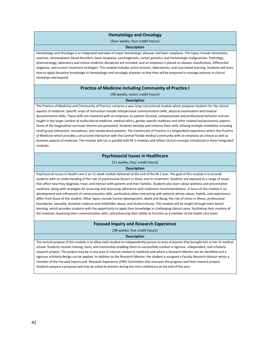### **Hematology and Oncology**

(four weeks; four credit hours)

#### **Description**

Hematology and Oncology is an integrated overview of major hematologic diseases and basic neoplasia. The topics include hemostasis, anemias, nonneoplastic blood disorders, basic neoplasia, carcinogenesis, cancer genetics, and hematologic malignancies. Pathology, pharmacology, laboratory and clinical medicine disciplines are included, and an emphasis is placed on disease classification, differential diagnosis, and current treatment strategies. This module includes active lectures, laboratories, and case based learning. Students will learn how to apply discipline knowledge to hematologic and oncologic diseases so that they will be prepared to manage patients in clinical clerkships and beyond.

#### **Practice of Medicine including Community of Practice I**

(38 weeks; seven credit hours)

#### **Description**

The Practice of Medicine and Community of Practice comprise a year-long instructional module which prepares students for the clinical aspects of medicine. Specific areas of instruction include interpersonal communication skills, physical examination and medical documentation skills. These skills are mastered with an emphasis on patient-focused, compassionate and professional behavior and are taught in the larger context of multicultural medicine, medical ethics, gender specific medicine and other related socioeconomic aspects. Some of the longitudinal curricular themes are presented. Students develop and enhance their skills utilizing multiple modalities including small group interaction, simulations, and standardized patients. The Community of Practice is a longitudinal experience within the Practice of Medicine which provides a structured interaction with the Central Florida medical community with an emphasis on clinical as well as business aspects of medicine. The module will run in parallel with M-1 modules and reflect clinical concepts introduced in these integrated modules.

#### **Psychosocial Issues in Healthcare**

(11 weeks; four credit hours)

#### **Description**

Psychosocial Issues in Health care is an 11-week module delivered at the end of the M-1 year. The goal of this module is to provide students with an understanding of the role of psychosocial factors in illness and its treatment. Students are exposed to a range of issues that affect how they diagnose, treat, and interact with patients and their families. Students also learn about wellness and preventative medicine, along with strategies for assessing and improving adherence with treatment recommendations. A focus of this module is on development and refinement of communication skills, particularly when interacting with patients whose values, beliefs, and experiences differ from those of the student. Other topics include human development, death and dying, the role of stress in illness, professional boundaries, sexuality, domestic violence and child/elder abuse, and alcohol misuse. This module will be taught through team-based learning, which provides students with the opportunity to apply their knowledge in challenging clinical cases, facilitating their mastery of the material, improving their communication skills, and enhancing their ability to function as a member of the health care team.

### **Focused Inquiry and Research Experience**

(38 weeks; five credit hours)

#### **Description**

The central purpose of this module is to allow each student to independently pursue an area of passion that brought him or her to medical school. Students receive training, tools, and mentorship enabling them to successfully conduct a rigorous, independent, and scholarly research project. The project may be in any area of interest related to medicine and where a Research Mentor can be identified and a rigorous scholarly design can be applied. In addition to the Research Mentor, the student is assigned a Faculty Research Advisor whois a member of the Focused Inquiry and Research Experience (FIRE) Committee that oversees the progress and final research project. Students prepare a proposal and may be asked to present during the mini-conference at the end of the year.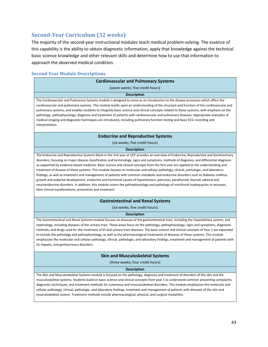# <span id="page-42-0"></span>**Second-Year Curriculum (32 weeks)**

The majority of the second-year instructional modules teach medical problem-solving. The essence of this capability is the ability to obtain diagnostic information, apply that knowledge against the technical basic science knowledge and other relevant skills and determine how to use that information to approach the observed medical condition.

# <span id="page-42-1"></span>**Second Year Module Descriptions**

| <b>Cardiovascular and Pulmonary Systems</b>                                                                                                                                                                                                                                       |
|-----------------------------------------------------------------------------------------------------------------------------------------------------------------------------------------------------------------------------------------------------------------------------------|
| (seven weeks; five credit hours)                                                                                                                                                                                                                                                  |
| <b>Description</b>                                                                                                                                                                                                                                                                |
| The Cardiovascular and Pulmonary Systems module is designed to serve as an introduction to the disease processes which affect the                                                                                                                                                 |
| cardiovascular and pulmonary systems. This module builds upon an understanding of the structure and function of the cardiovascular and<br>pulmonary systems, and enables students to integrate basic science and clinical concepts related to these systems, with emphasis on the |
| pathology, pathophysiology, diagnosis and treatment of patients with cardiovascular and pulmonary diseases. Appropriate examples of                                                                                                                                               |
| medical imaging and diagnostic techniques are introduced, including pulmonary function testing and basic ECG recording and<br>interpretation.                                                                                                                                     |

### **Endocrine and Reproductive Systems**

(six weeks; five credit hours)

#### **Description**

The Endocrine and Reproductive Systems block in the 2nd year at UCF provides an overview of Endocrine, Reproductive and Genitourinary disorders, focusing on major disease classification and terminology, signs and symptoms, methods of diagnosis, and differential diagnosis as supported by evidence-based medicine. Basic science and clinical concepts from the first year are applied to the understanding and treatment of disease of these systems. This module focuses on molecular and cellular pathology, clinical, pathologic, and laboratory findings, as well as treatment and management of patients with common metabolic and endocrine disorders such as diabetes mellitus, growth and pubertal development, endocrine and hormonal causes of hypertension, pancreas, parathyroid, thyroid, adrenal and neuroendocrine disorders. In addition, this module covers the pathophysiology and pathology of nutritional inadequacies or excesses, their clinical manifestations, prevention and treatment.

#### **Gastrointestinal and Renal Systems**

(six weeks; five credit hours)

#### **Description**

The Gastrointestinal and Renal Systems module focuses on diseases of the gastrointestinal tract, including the hepatobiliary system, and nephrology, including diseases of the urinary tract. These areas focus on the pathology, pathophysiology, signs and symptoms, diagnostic methods, and drugs used for the treatment of GI and urinary tract diseases. The basic science and clinical concepts of Year 1 are expanded to include the pathology and pathophysiology, as well as the pharmacological treatments of diseases of these systems. This module emphasizes the molecular and cellular pathology, clinical, pathologic, and laboratory findings, treatment and management of patients with GI, hepatic, and genitourinary disorders.

#### **Skin and Musculoskeletal Systems**

(three weeks; four credit hours)

#### **Description**

The Skin and Musculoskeletal Systems module is focused on the pathology, diagnosis and treatment of disorders of the skin and the musculoskeletal systems. Students build on basic science and clinical concepts from year 1 to understand common presenting complaints, diagnostic techniques, and treatment methods for cutaneous and musculoskeletal disorders. This module emphasizes the molecular and cellular pathology, clinical, pathologic, and laboratory findings, treatment and management of patients with diseases of the skin and musculoskeletal system. Treatment methods include pharmacological, physical, and surgical modalities.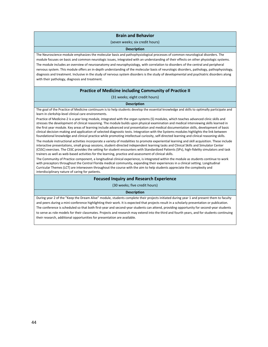#### **Brain and Behavior**

#### (seven weeks; six credit hours)

#### **Description**

The Neuroscience module emphasizes the molecular basis and pathophysiological processes of common neurological disorders. The module focuses on basic and common neurologic issues, integrated with an understanding of their effects on other physiologic systems. The module includes an overview of neuroanatomy and neurophysiology, with correlation to disorders of the central and peripheral nervous system. This module offers an in-depth understanding of the molecular basis of neurologic disorders, pathology, pathophysiology, diagnosis and treatment. Inclusive in the study of nervous system disorders is the study of developmental and psychiatric disorders along with their pathology, diagnosis and treatment.

#### **Practice of Medicine including Community of Practice II**

(31 weeks; eight credit hours)

#### **Description**

The goal of the Practice of Medicine continuum is to help students develop the essential knowledge and skills to optimally participate and learn in clerkship-level clinical care environments.

Practice of Medicine-2 is a year long module, integrated with the organ systems (S) modules, which teaches advanced clinic skills and stresses the development of clinical reasoning. The module builds upon physical examination and medical interviewing skills learned in the first year module. Key areas of learning include advanced oral presentation and medical documentation skills, development of basic clinical decision-making and application of selected diagnostic tests. Integration with the Systems modules highlights the link between foundational knowledge and clinical practice while promoting intellectual curiosity, self-directed learning and clinical reasoning skills.

The module instructional activities incorporate a variety of modalities to promote experiential learning and skill acquisition. These include interactive presentations, small group sessions, student-directed independent learning tasks and Clinical Skills and Simulator Center (CSSC) exercises. The CSSC provides the setting for student encounters with Standardized Patients (SPs), high-fidelity simulators and task trainers as well as web-based activities for the learning, practice and assessment of clinical skills.

The Community of Practice component, a longitudinal clinical experience, is integrated within the module as students continue to work with preceptors throughout the Central Florida medical community, expanding their experiences in a clinical setting. Longitudinal Curricular Themes (LCT) are interwoven throughout the course with the aim to help students appreciate the complexity and interdisciplinary nature of caring for patients.

#### **Focused Inquiry and Research Experience**

(30 weeks; five credit hours)

#### **Description**

During year 2 of the "Keep the Dream Alive" module, students complete their projects initiated during year 1 and present them to faculty and peers during a mini-conference highlighting their work. It is expected that projects result in a scholarly presentation or publication. The conference is scheduled so that both first-year and second-year students can attend, providing opportunity for second-year students to serve as role models for their classmates. Projects and research may extend into the third and fourth years, and for students continuing their research, additional opportunities for presentation are available.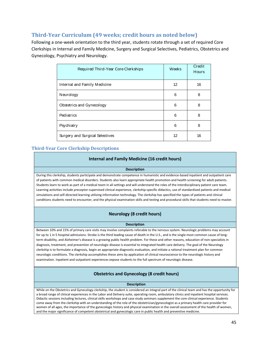# <span id="page-44-0"></span>**Third-Year Curriculum (49 weeks; credit hours as noted below)**

Following a one-week orientation to the third year, students rotate through a set of required Core Clerkships in Internal and Family Medicine, Surgery and Surgical Selectives, Pediatrics, Obstetrics and Gynecology, Psychiatry and Neurology.

| Required Third-Year Core Clerkships | Weeks | Credit<br><b>Hours</b> |
|-------------------------------------|-------|------------------------|
| Internal and Family Medicine        | 12    | 16                     |
| Neurology                           | 6     | 8                      |
| Obstetrics and Gynecology           | 6     | 8                      |
| Pediatrics                          | 6     | 8                      |
| Psychiatry                          | 6     | 8                      |
| Surgery and Surgical Selectives     | 12    | 16                     |

# <span id="page-44-1"></span>**Third-Year Core Clerkship Descriptions**

### **Internal and Family Medicine (16 credit hours)**

#### **Description**

During this clerkship, students participate and demonstrate competence in humanistic and evidence-based inpatient and outpatient care of patients with common medical disorders. Students also learn appropriate health promotion and health screening for adult patients. Students learn to work as part of a medical team in all settings and will understand the roles of the interdisciplinary patient care team. Learning activities include preceptor-supervised clinical experience, clerkship-specific didactics, use of standardized patients and medical simulations and self-directed learning utilizing information technology. The clerkship has specified the types of patients and clinical conditions students need to encounter, and the physical examination skills and testing and procedural skills that students need to master.

### **Neurology (8 credit hours)**

#### **Description**

Between 10% and 15% of primary care visits may involve complaints referable to the nervous system. Neurologic problems may account for up to 1 in 5 hospital admissions. Stroke is the third leading cause of death in the U.S., and is the single most common cause of longterm disability, and Alzheimer's disease is a growing public health problem. For these and other reasons, education of non-specialists in diagnosis, treatment, and prevention of neurologic disease is essential to integrated health care delivery. The goal of the Neurology clerkship is to formulate a diagnosis, begin an appropriate diagnostic evaluation, and initiate a rational treatment plan for common neurologic conditions. The clerkship accomplishes these aims by application of clinical neuroscience to the neurologic history and examination. Inpatient and outpatient experiences expose students to the full spectrum of neurologic disease.

### **Obstetrics and Gynecology (8 credit hours)**

#### **Description**

While on the Obstetrics and Gynecology clerkship, the student is considered an integral part of the clinical team and has the opportunity for a broad range of clinical experiences in the Labor and Delivery suite, operating room, ambulatory clinics and inpatient hospital services. Didactic sessions including lectures, clinical skills workshops and case study seminars supplement the core clinical experience. Students come away from the clerkship with an understanding of the role of the obstetrician/gynecologist as a primary health care provider for women of all ages, the importance of the gynecologic history and physical examination in the overall assessment of the health of women, and the major significance of competent obstetrical and gynecologic care in public health and preventive medicine.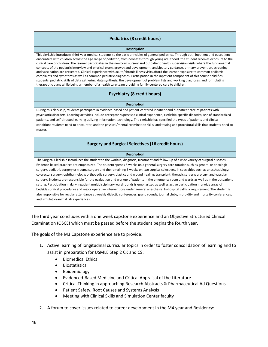### **Pediatrics (8 credit hours)**

#### **Description**

This clerkship introduces third-year medical students to the basic principles of general pediatrics. Through both inpatient and outpatient encounters with children across the age range of pediatric, from neonates through young adulthood, the student receives exposure to the clinical care of children. The learner participates in the newborn nursery and outpatient health supervision visits where the fundamental concepts of the pediatric interview and physical exam, growth and development, anticipatory guidance, primary prevention, screening, and vaccination are presented. Clinical experience with acute/chronic illness visits afford the learner exposure to common pediatric complaints and symptoms as well as common pediatric diagnoses. Participation in the inpatient component of this course solidifies students' pediatric skills of data gathering, data synthesis, the development of problem lists and working diagnoses, and formulating therapeutic plans while being a member of a health care team providing family-centered care to children.

### **Psychiatry (8 credit hours)**

#### **Description**

During this clerkship, students participate in evidence-based and patient-centered inpatient and outpatient care of patients with psychiatric disorders. Learning activities include preceptor-supervised clinical experience, clerkship-specific didactics, use of standardized patients, and self-directed learning utilizing information technology. The clerkship has specified the types of patients and clinical conditions students need to encounter, and the physical/mental examination skills, and testing and procedural skills that students need to master.

### **Surgery and Surgical Selectives (16 credit hours)**

#### **Description**

The Surgical Clerkship introduces the student to the workup, diagnosis, treatment and follow-up of a wide variety of surgical diseases. Evidence-based practices are emphasized. The student spends 6 weeks on a general surgery core rotation such as general or oncologic surgery, pediatric surgery or trauma surgery and the remaining 6 weeks on two surgical selectives, in specialties such as anesthesiology; colorectal surgery; ophthalmology; orthopedic surgery; plastics and wound healing; transplant; thoracic surgery; urology; and vascular surgery. Students are responsible for the evaluation and workup of patients in the emergency room and wards as well as in the outpatient setting. Participation in daily inpatient multidisciplinary ward rounds is emphasized as well as active participation in a wide array of bedside surgical procedures and major operative interventions under general anesthesia. In-hospital call is a requirement. The student is also responsible for regular attendance at weekly didactic conferences; grand rounds; journal clubs; morbidity and mortality conferences; and simulator/animal lab experiences.

The third year concludes with a one week capstone experience and an Objective Structured Clinical Examination (OSCE) which must be passed before the student begins the fourth year.

The goals of the M3 Capstone experience are to provide:

- 1. Active learning of longitudinal curricular topics in order to foster consolidation of learning and to assist in preparation for USMLE Step 2 CK and CS:
	- Biomedical Ethics
	- Biostatistics
	- Epidemiology
	- Evidenced-Based Medicine and Critical Appraisal of the Literature
	- Critical Thinking in approaching Research Abstracts & Pharmaceutical Ad Questions
	- Patient Safety, Root Causes and Systems Analysis
	- Meeting with Clinical Skills and Simulation Center faculty
- 2. A forum to cover issues related to career development in the M4 year and Residency: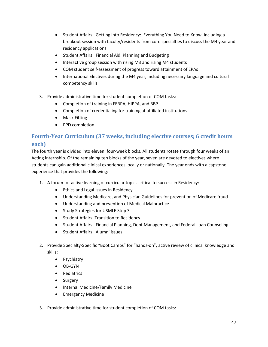- Student Affairs: Getting into Residency: Everything You Need to Know, including a breakout session with faculty/residents from core specialties to discuss the M4 year and residency applications
- Student Affairs: Financial Aid, Planning and Budgeting
- Interactive group session with rising M3 and rising M4 students
- COM student self-assessment of progress toward attainment of EPAs
- International Electives during the M4 year, including necessary language and cultural competency skills
- 3. Provide administrative time for student completion of COM tasks:
	- Completion of training in FERPA, HIPPA, and BBP
	- Completion of credentialing for training at affiliated institutions
	- Mask Fitting
	- PPD completion.

# <span id="page-46-0"></span>**Fourth-Year Curriculum (37 weeks, including elective courses; 6 credit hours each)**

The fourth year is divided into eleven, four-week blocks. All students rotate through four weeks of an Acting Internship. Of the remaining ten blocks of the year, seven are devoted to electives where students can gain additional clinical experiences locally or nationally. The year ends with a capstone experience that provides the following:

- 1. A forum for active learning of curricular topics critical to success in Residency:
	- Ethics and Legal Issues in Residency
	- Understanding Medicare, and Physician Guidelines for prevention of Medicare fraud
	- Understanding and prevention of Medical Malpractice
	- Study Strategies for USMLE Step 3
	- Student Affairs: Transition to Residency
	- Student Affairs: Financial Planning, Debt Management, and Federal Loan Counseling
	- Student Affairs: Alumni issues.
- 2. Provide Specialty-Specific "Boot Camps" for "hands-on", active review of clinical knowledge and skills:
	- Psychiatry
	- OB-GYN
	- Pediatrics
	- Surgery
	- Internal Medicine/Family Medicine
	- Emergency Medicine
- 3. Provide administrative time for student completion of COM tasks: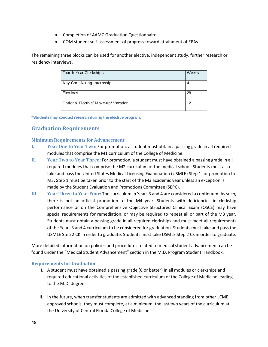- Completion of AAMC Graduation Questionnaire
- COM student self-assessment of progress toward attainment of EPAs

The remaining three blocks can be used for another elective, independent study, further research or residency interviews.

| Fourth-Year Clerkships               | Weeks |
|--------------------------------------|-------|
|                                      |       |
|                                      |       |
|                                      |       |
| Any Core Acting-Internship           | 4     |
|                                      |       |
|                                      |       |
|                                      |       |
| Electives                            | 28    |
|                                      |       |
|                                      |       |
|                                      |       |
| Optional Elective/ Make-up/ Vacation | 12    |
|                                      |       |
|                                      |       |
|                                      |       |

<span id="page-47-0"></span>**\*Students may conduct research during the elective program.**

# **Graduation Requirements**

# <span id="page-47-1"></span>**Minimum Requirements for Advancement**

- <span id="page-47-2"></span>**I. Year One to Year Two**: For promotion, a student must obtain a passing grade in all required modules that comprise the M1 curriculum of the College of Medicine.
- <span id="page-47-3"></span>**II. Year Two to Year Three:** For promotion, a student must have obtained a passing grade in all required modules that comprise the M2 curriculum of the medical school. Students must also take and pass the United States Medical Licensing Examination (USMLE) Step 1 for promotion to M3. Step 1 must be taken prior to the start of the M3 academic year unless an exception is made by the Student Evaluation and Promotions Committee (SEPC).
- <span id="page-47-4"></span>**III. Year Three to Year Four:** The curriculum in Years 3 and 4 are considered a continuum. As such, there is not an official promotion to the M4 year. Students with deficiencies in clerkship performance or on the Comprehensive Objective Structured Clinical Exam (OSCE) may have special requirements for remediation, or may be required to repeat all or part of the M3 year. Students must obtain a passing grade in all required clerkships and must meet all requirements of the Years 3 and 4 curriculum to be considered for graduation. Students must take and pass the USMLE Step 2 CK in order to graduate. Students must take USMLE Step 2 CS in order to graduate.

More detailed information on policies and procedures related to medical student advancement can be found under the "Medical Student Advancement" section in the M.D. Program Student Handbook.

# <span id="page-47-5"></span>**Requirements for Graduation**

- I. A student must have obtained a passing grade (C or better) in all modules or clerkships and required educational activities of the established curriculum of the College of Medicine leading to the M.D. degree.
- II. In the future, when transfer students are admitted with advanced standing from other LCME approved schools, they must complete, at a minimum, the last two years of the curriculum at the University of Central Florida College of Medicine.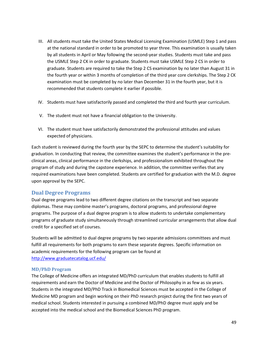- III. All students must take the United States Medical Licensing Examination (USMLE) Step 1 and pass at the national standard in order to be promoted to year three. This examination is usually taken by all students in April or May following the second-year studies. Students must take and pass the USMLE Step 2 CK in order to graduate. Students must take USMLE Step 2 CS in order to graduate. Students are required to take the Step 2 CS examination by no later than August 31 in the fourth year or within 3 months of completion of the third year core clerkships. The Step 2 CK examination must be completed by no later than December 31 in the fourth year, but it is recommended that students complete it earlier if possible.
- IV. Students must have satisfactorily passed and completed the third and fourth year curriculum.
- V. The student must not have a financial obligation to the University.
- VI. The student must have satisfactorily demonstrated the professional attitudes and values expected of physicians.

Each student is reviewed during the fourth year by the SEPC to determine the student's suitability for graduation. In conducting that review, the committee examines the student's performance in the preclinical areas, clinical performance in the clerkships, and professionalism exhibited throughout the program of study and during the capstone experience. In addition, the committee verifies that any required examinations have been completed. Students are certified for graduation with the M.D. degree upon approval by the SEPC.

# <span id="page-48-0"></span>**Dual Degree Programs**

Dual degree programs lead to two different degree citations on the transcript and two separate diplomas. These may combine master's programs, doctoral programs, and professional degree programs. The purpose of a dual degree program is to allow students to undertake complementary programs of graduate study simultaneously through streamlined curricular arrangements that allow dual credit for a specified set of courses.

Students will be admitted to dual degree programs by two separate admissions committees and must fulfill all requirements for both programs to earn these separate degrees. Specific information on academic requirements for the following program can be found at <http://www.graduatecatalog.ucf.edu/>

### <span id="page-48-1"></span>**MD/PhD Program**

The College of Medicine offers an integrated MD/PhD curriculum that enables students to fulfill all requirements and earn the Doctor of Medicine and the Doctor of Philosophy in as few as six years. Students in the integrated MD/PhD Track in Biomedical Sciences must be accepted in the College of Medicine MD program and begin working on their PhD research project during the first two years of medical school. Students interested in pursuing a combined MD/PhD degree must apply and be accepted into the medical school and the Biomedical Sciences PhD program.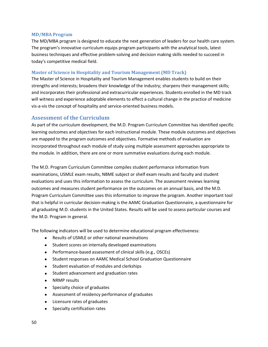### <span id="page-49-0"></span>**MD/MBA Program**

The MD/MBA program is designed to educate the next generation of leaders for our health care system. The program's innovative curriculum equips program participants with the analytical tools, latest business techniques and effective problem-solving and decision making skills needed to succeed in today's competitive medical field.

### <span id="page-49-1"></span>**Master of Science in Hospitality and Tourism Management (MD Track)**

The Master of Science in Hospitality and Tourism Management enables students to build on their strengths and interests; broadens their knowledge of the industry; sharpens their management skills; and incorporates their professional and extracurricular experiences. Students enrolled in the MD track will witness and experience adoptable elements to effect a cultural change in the practice of medicine vis-a-vis the concept of hospitality and service-oriented business models.

# <span id="page-49-2"></span>**Assessment of the Curriculum**

As part of the curriculum development, the M.D. Program Curriculum Committee has identified specific learning outcomes and objectives for each instructional module. These module outcomes and objectives are mapped to the program outcomes and objectives. Formative methods of evaluation are incorporated throughout each module of study using multiple assessment approaches appropriate to the module. In addition, there are one or more summative evaluations during each module.

The M.D. Program Curriculum Committee compiles student performance information from examinations, USMLE exam results, NBME subject or shelf exam results and faculty and student evaluations and uses this information to assess the curriculum. The assessment reviews learning outcomes and measures student performance on the outcomes on an annual basis, and the M.D. Program Curriculum Committee uses this information to improve the program. Another important tool that is helpful in curricular decision-making is the AAMC Graduation Questionnaire, a questionnaire for all graduating M.D. students in the United States. Results will be used to assess particular courses and the M.D. Program in general.

The following indicators will be used to determine educational program effectiveness:

- Results of USMLE or other national examinations
- Student scores on internally developed examinations
- Performance-based assessment of clinical skills (e.g., OSCEs)
- Student responses on AAMC Medical School Graduation Questionnaire
- Student evaluation of modules and clerkships
- Student advancement and graduation rates
- NRMP results
- Specialty choice of graduates
- Assessment of residency performance of graduates
- Licensure rates of graduates
- Specialty certification rates